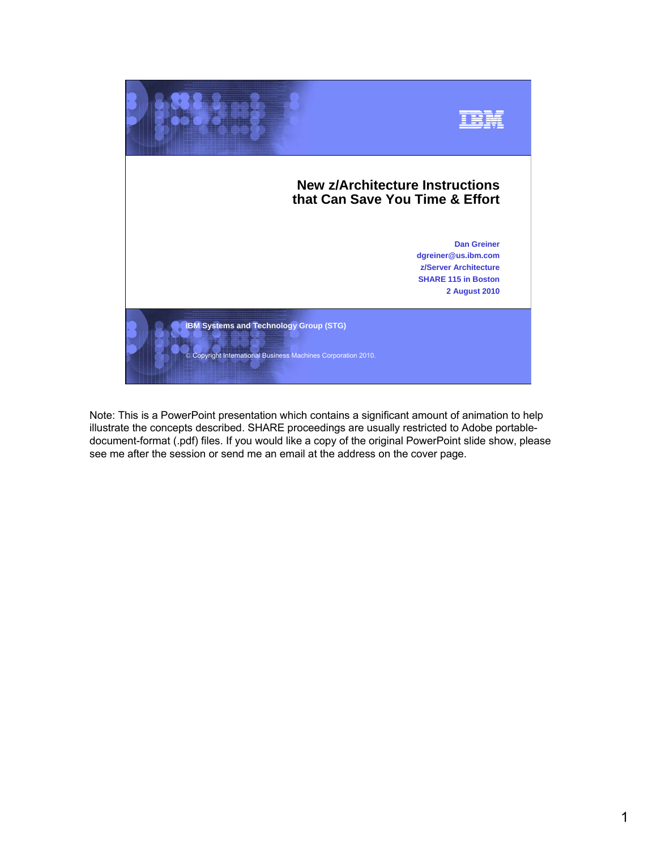

Note: This is a PowerPoint presentation which contains a significant amount of animation to help illustrate the concepts described. SHARE proceedings are usually restricted to Adobe portabledocument-format (.pdf) files. If you would like a copy of the original PowerPoint slide show, please see me after the session or send me an email at the address on the cover page.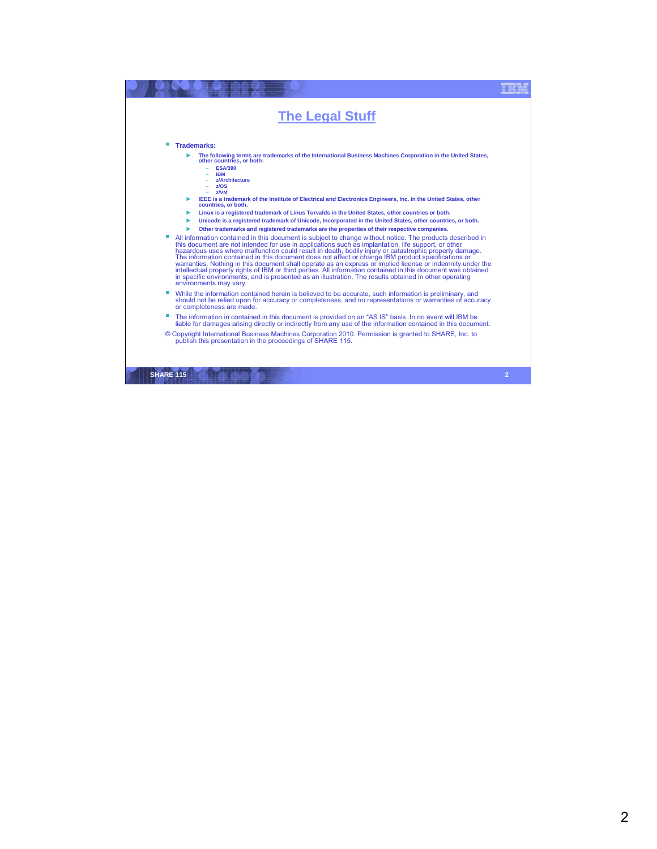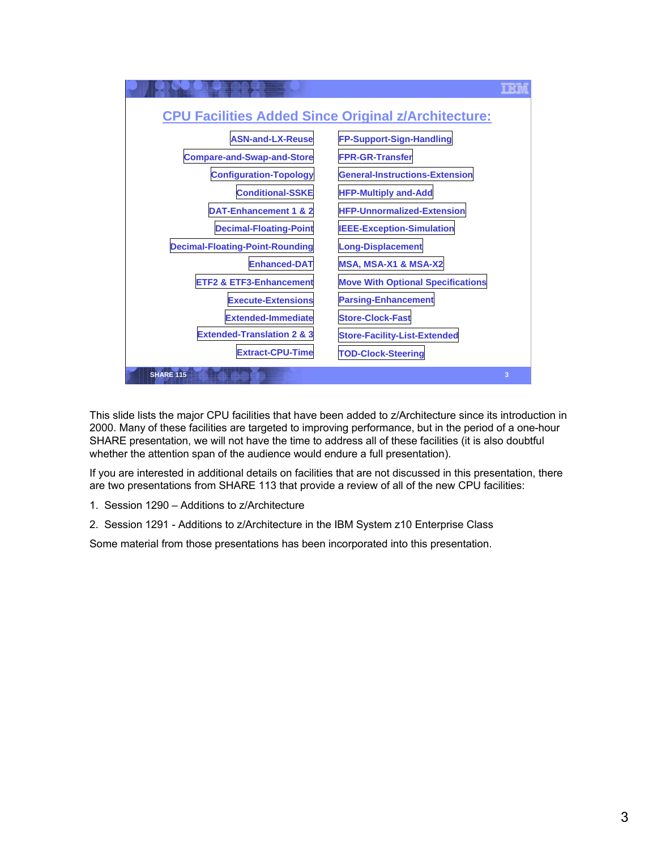

This slide lists the major CPU facilities that have been added to z/Architecture since its introduction in 2000. Many of these facilities are targeted to improving performance, but in the period of a one-hour SHARE presentation, we will not have the time to address all of these facilities (it is also doubtful whether the attention span of the audience would endure a full presentation).

If you are interested in additional details on facilities that are not discussed in this presentation, there are two presentations from SHARE 113 that provide a review of all of the new CPU facilities:

- 1. Session 1290 Additions to z/Architecture
- 2. Session 1291 Additions to z/Architecture in the IBM System z10 Enterprise Class

Some material from those presentations has been incorporated into this presentation.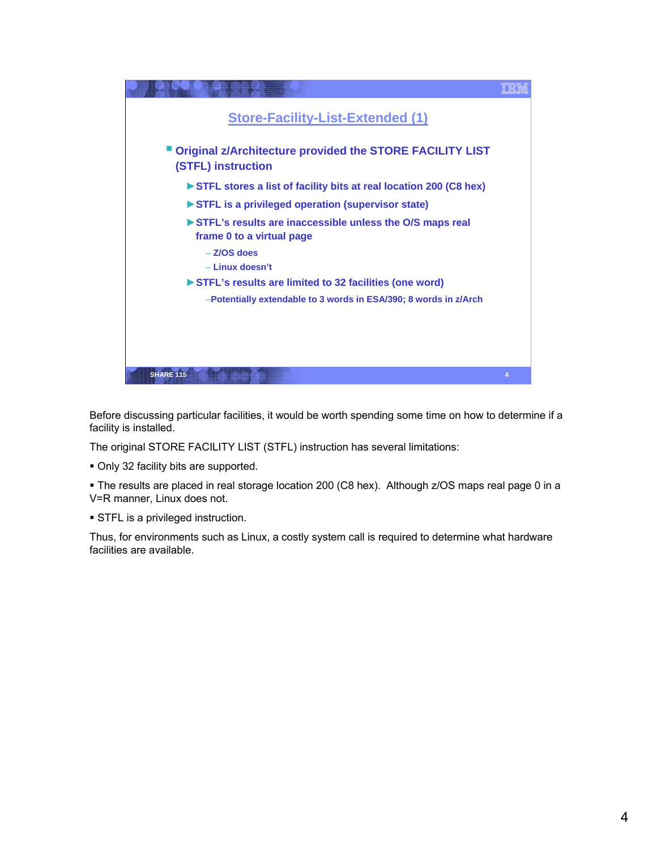| <b>Store-Facility-List-Extended (1)</b>                                                 |   |
|-----------------------------------------------------------------------------------------|---|
| " Original z/Architecture provided the STORE FACILITY LIST<br><b>(STFL) instruction</b> |   |
| STFL stores a list of facility bits at real location 200 (C8 hex)                       |   |
| STFL is a privileged operation (supervisor state)                                       |   |
| STFL's results are inaccessible unless the O/S maps real<br>frame 0 to a virtual page   |   |
| $-$ Z/OS does                                                                           |   |
| - Linux doesn't                                                                         |   |
| ► STFL's results are limited to 32 facilities (one word)                                |   |
| -Potentially extendable to 3 words in ESA/390; 8 words in z/Arch                        |   |
|                                                                                         |   |
|                                                                                         |   |
|                                                                                         |   |
| <b>SHARE 115</b>                                                                        | 4 |
|                                                                                         |   |

Before discussing particular facilities, it would be worth spending some time on how to determine if a facility is installed.

The original STORE FACILITY LIST (STFL) instruction has several limitations:

Only 32 facility bits are supported.

 The results are placed in real storage location 200 (C8 hex). Although z/OS maps real page 0 in a V=R manner, Linux does not.

**STFL is a privileged instruction.** 

Thus, for environments such as Linux, a costly system call is required to determine what hardware facilities are available.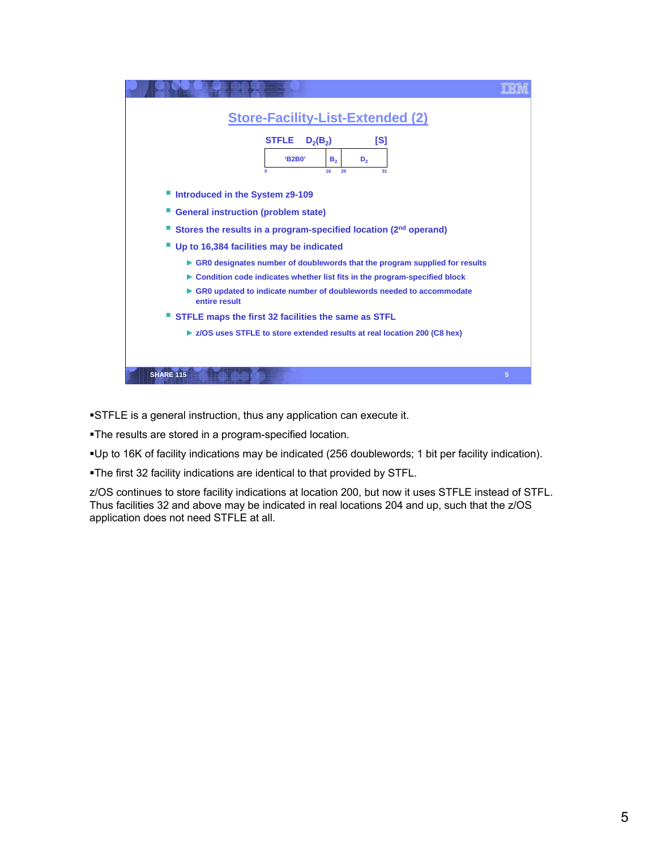| <b>Store-Facility-List-Extended (2)</b>                                                   |   |
|-------------------------------------------------------------------------------------------|---|
| <b>STFLE</b><br>$D_2(B_2)$<br>[S]<br>'B2B0'<br>в,<br>D,<br>$\mathbf{0}$<br>16<br>20<br>31 |   |
| Introduced in the System z9-109                                                           |   |
| <b>General instruction (problem state)</b>                                                |   |
| Stores the results in a program-specified location (2 <sup>nd</sup> operand)              |   |
| Up to 16,384 facilities may be indicated                                                  |   |
| GR0 designates number of doublewords that the program supplied for results                |   |
| ► Condition code indicates whether list fits in the program-specified block               |   |
| GR0 updated to indicate number of doublewords needed to accommodate<br>entire result      |   |
| STFLE maps the first 32 facilities the same as STFL                                       |   |
| ► z/OS uses STFLE to store extended results at real location 200 (C8 hex)                 |   |
|                                                                                           |   |
| <b>SHARE 115</b>                                                                          | 5 |

STFLE is a general instruction, thus any application can execute it.

The results are stored in a program-specified location.

Up to 16K of facility indications may be indicated (256 doublewords; 1 bit per facility indication).

The first 32 facility indications are identical to that provided by STFL.

z/OS continues to store facility indications at location 200, but now it uses STFLE instead of STFL. Thus facilities 32 and above may be indicated in real locations 204 and up, such that the z/OS application does not need STFLE at all.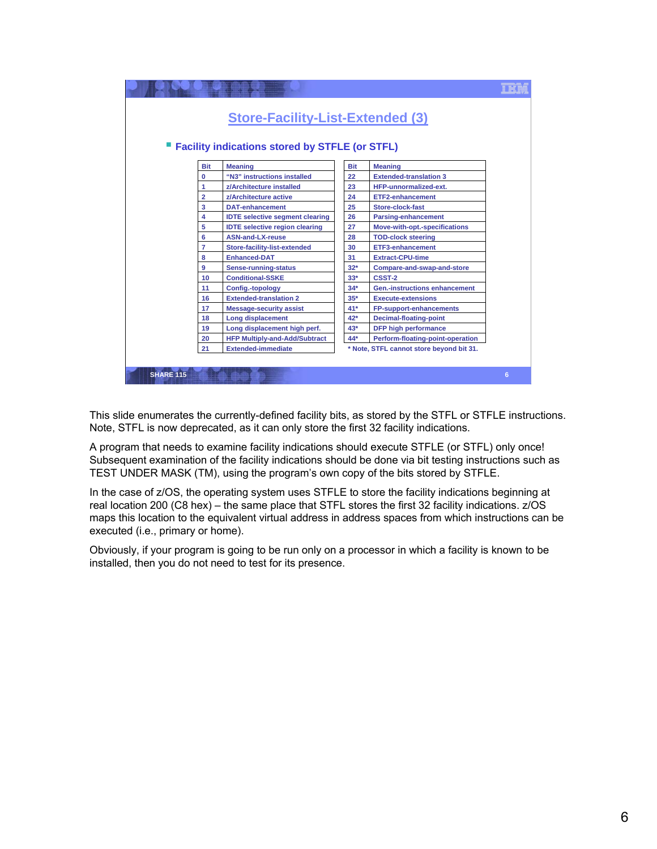

This slide enumerates the currently-defined facility bits, as stored by the STFL or STFLE instructions. Note, STFL is now deprecated, as it can only store the first 32 facility indications.

A program that needs to examine facility indications should execute STFLE (or STFL) only once! Subsequent examination of the facility indications should be done via bit testing instructions such as TEST UNDER MASK (TM), using the program's own copy of the bits stored by STFLE.

In the case of z/OS, the operating system uses STFLE to store the facility indications beginning at real location 200 (C8 hex) – the same place that STFL stores the first 32 facility indications. z/OS maps this location to the equivalent virtual address in address spaces from which instructions can be executed (i.e., primary or home).

Obviously, if your program is going to be run only on a processor in which a facility is known to be installed, then you do not need to test for its presence.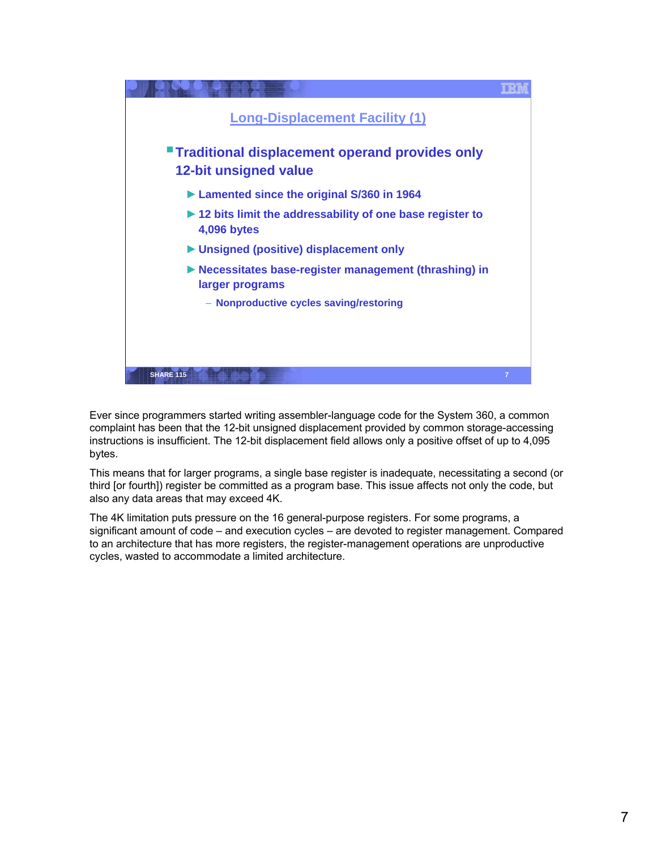

Ever since programmers started writing assembler-language code for the System 360, a common complaint has been that the 12-bit unsigned displacement provided by common storage-accessing instructions is insufficient. The 12-bit displacement field allows only a positive offset of up to 4,095 bytes.

This means that for larger programs, a single base register is inadequate, necessitating a second (or third [or fourth]) register be committed as a program base. This issue affects not only the code, but also any data areas that may exceed 4K.

The 4K limitation puts pressure on the 16 general-purpose registers. For some programs, a significant amount of code – and execution cycles – are devoted to register management. Compared to an architecture that has more registers, the register-management operations are unproductive cycles, wasted to accommodate a limited architecture.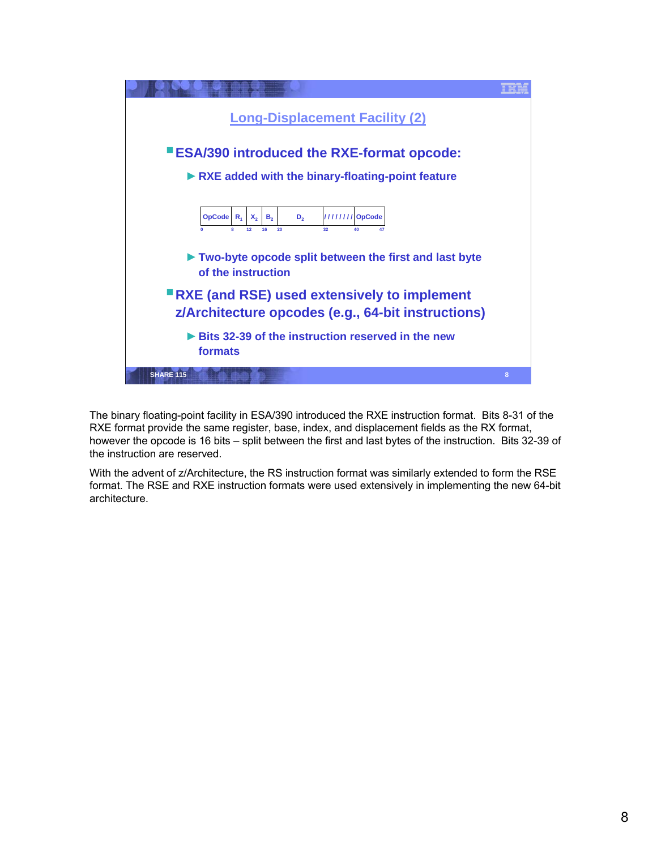

The binary floating-point facility in ESA/390 introduced the RXE instruction format. Bits 8-31 of the RXE format provide the same register, base, index, and displacement fields as the RX format, however the opcode is 16 bits – split between the first and last bytes of the instruction. Bits 32-39 of the instruction are reserved.

With the advent of z/Architecture, the RS instruction format was similarly extended to form the RSE format. The RSE and RXE instruction formats were used extensively in implementing the new 64-bit architecture.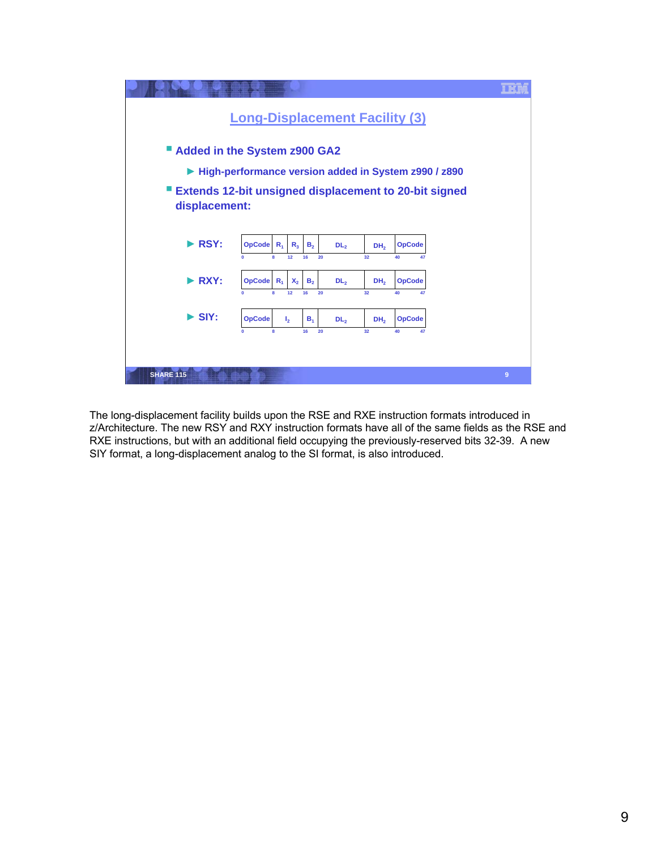

The long-displacement facility builds upon the RSE and RXE instruction formats introduced in z/Architecture. The new RSY and RXY instruction formats have all of the same fields as the RSE and RXE instructions, but with an additional field occupying the previously-reserved bits 32-39. A new SIY format, a long-displacement analog to the SI format, is also introduced.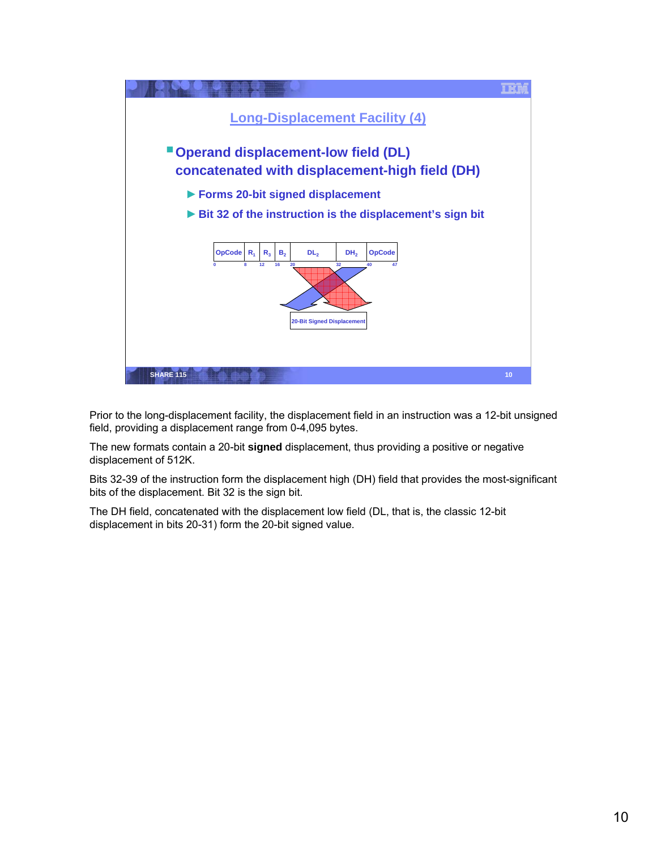

Prior to the long-displacement facility, the displacement field in an instruction was a 12-bit unsigned field, providing a displacement range from 0-4,095 bytes.

The new formats contain a 20-bit **signed** displacement, thus providing a positive or negative displacement of 512K.

Bits 32-39 of the instruction form the displacement high (DH) field that provides the most-significant bits of the displacement. Bit 32 is the sign bit.

The DH field, concatenated with the displacement low field (DL, that is, the classic 12-bit displacement in bits 20-31) form the 20-bit signed value.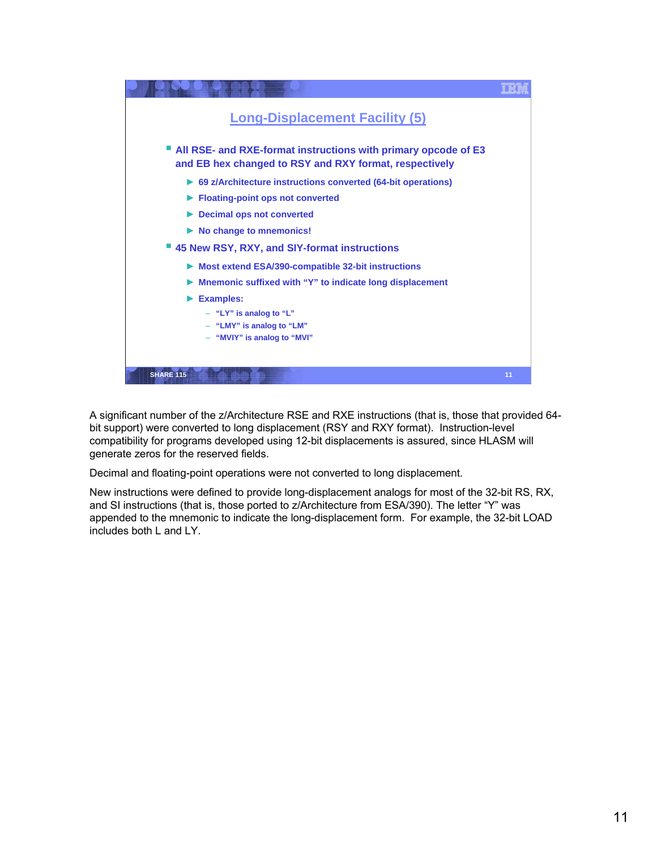

A significant number of the z/Architecture RSE and RXE instructions (that is, those that provided 64 bit support) were converted to long displacement (RSY and RXY format). Instruction-level compatibility for programs developed using 12-bit displacements is assured, since HLASM will generate zeros for the reserved fields.

Decimal and floating-point operations were not converted to long displacement.

New instructions were defined to provide long-displacement analogs for most of the 32-bit RS, RX, and SI instructions (that is, those ported to z/Architecture from ESA/390). The letter "Y" was appended to the mnemonic to indicate the long-displacement form. For example, the 32-bit LOAD includes both L and LY.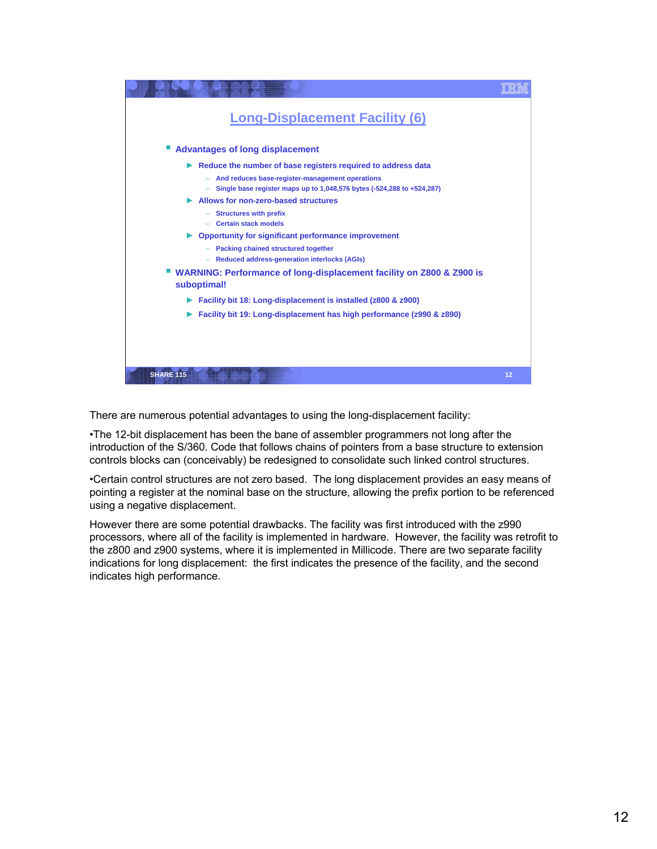

There are numerous potential advantages to using the long-displacement facility:

•The 12-bit displacement has been the bane of assembler programmers not long after the introduction of the S/360. Code that follows chains of pointers from a base structure to extension controls blocks can (conceivably) be redesigned to consolidate such linked control structures.

•Certain control structures are not zero based. The long displacement provides an easy means of pointing a register at the nominal base on the structure, allowing the prefix portion to be referenced using a negative displacement.

However there are some potential drawbacks. The facility was first introduced with the z990 processors, where all of the facility is implemented in hardware. However, the facility was retrofit to the z800 and z900 systems, where it is implemented in Millicode. There are two separate facility indications for long displacement: the first indicates the presence of the facility, and the second indicates high performance.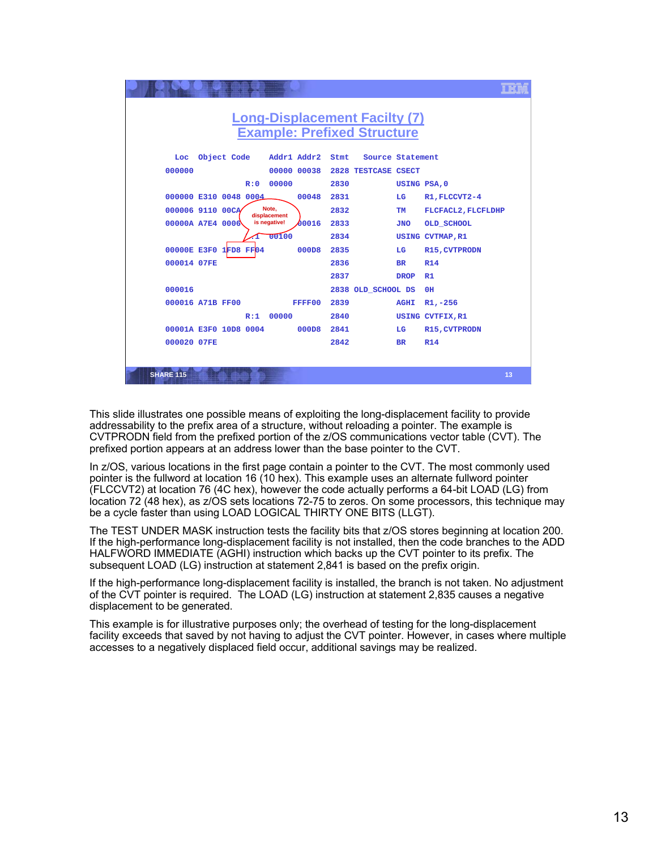

This slide illustrates one possible means of exploiting the long-displacement facility to provide addressability to the prefix area of a structure, without reloading a pointer. The example is CVTPRODN field from the prefixed portion of the z/OS communications vector table (CVT). The prefixed portion appears at an address lower than the base pointer to the CVT.

In z/OS, various locations in the first page contain a pointer to the CVT. The most commonly used pointer is the fullword at location 16 (10 hex). This example uses an alternate fullword pointer (FLCCVT2) at location 76 (4C hex), however the code actually performs a 64-bit LOAD (LG) from location 72 (48 hex), as z/OS sets locations 72-75 to zeros. On some processors, this technique may be a cycle faster than using LOAD LOGICAL THIRTY ONE BITS (LLGT).

The TEST UNDER MASK instruction tests the facility bits that z/OS stores beginning at location 200. If the high-performance long-displacement facility is not installed, then the code branches to the ADD HALFWORD IMMEDIATE (AGHI) instruction which backs up the CVT pointer to its prefix. The subsequent LOAD (LG) instruction at statement 2,841 is based on the prefix origin.

If the high-performance long-displacement facility is installed, the branch is not taken. No adjustment of the CVT pointer is required. The LOAD (LG) instruction at statement 2,835 causes a negative displacement to be generated.

This example is for illustrative purposes only; the overhead of testing for the long-displacement facility exceeds that saved by not having to adjust the CVT pointer. However, in cases where multiple accesses to a negatively displaced field occur, additional savings may be realized.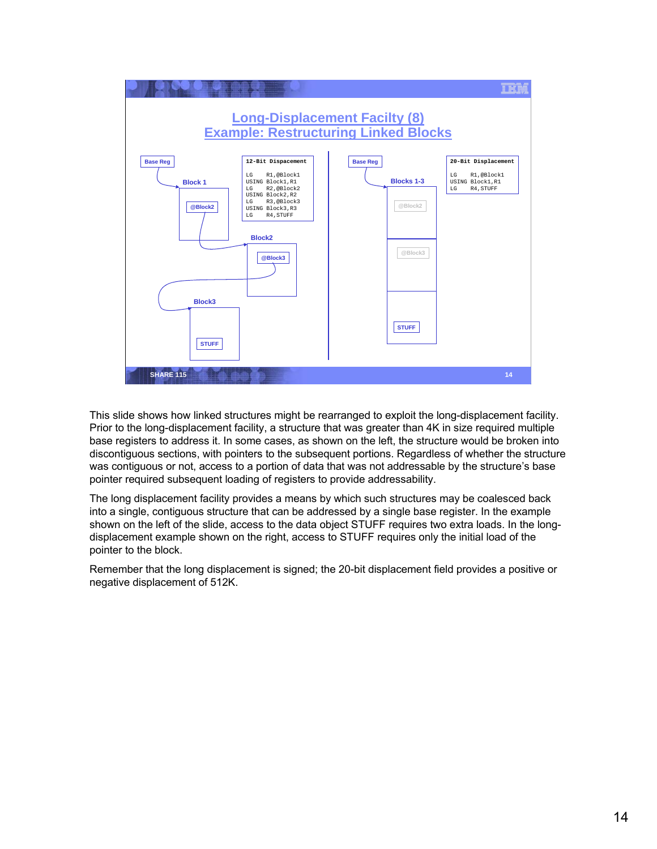

This slide shows how linked structures might be rearranged to exploit the long-displacement facility. Prior to the long-displacement facility, a structure that was greater than 4K in size required multiple base registers to address it. In some cases, as shown on the left, the structure would be broken into discontiguous sections, with pointers to the subsequent portions. Regardless of whether the structure was contiguous or not, access to a portion of data that was not addressable by the structure's base pointer required subsequent loading of registers to provide addressability.

The long displacement facility provides a means by which such structures may be coalesced back into a single, contiguous structure that can be addressed by a single base register. In the example shown on the left of the slide, access to the data object STUFF requires two extra loads. In the longdisplacement example shown on the right, access to STUFF requires only the initial load of the pointer to the block.

Remember that the long displacement is signed; the 20-bit displacement field provides a positive or negative displacement of 512K.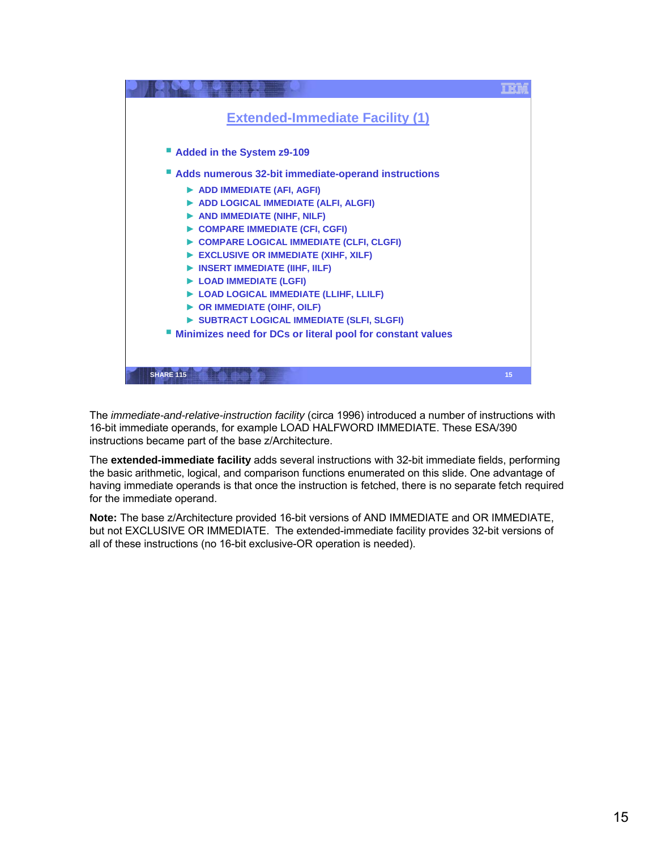

The *immediate-and-relative-instruction facility* (circa 1996) introduced a number of instructions with 16-bit immediate operands, for example LOAD HALFWORD IMMEDIATE. These ESA/390 instructions became part of the base z/Architecture.

The **extended-immediate facility** adds several instructions with 32-bit immediate fields, performing the basic arithmetic, logical, and comparison functions enumerated on this slide. One advantage of having immediate operands is that once the instruction is fetched, there is no separate fetch required for the immediate operand.

**Note:** The base z/Architecture provided 16-bit versions of AND IMMEDIATE and OR IMMEDIATE, but not EXCLUSIVE OR IMMEDIATE. The extended-immediate facility provides 32-bit versions of all of these instructions (no 16-bit exclusive-OR operation is needed).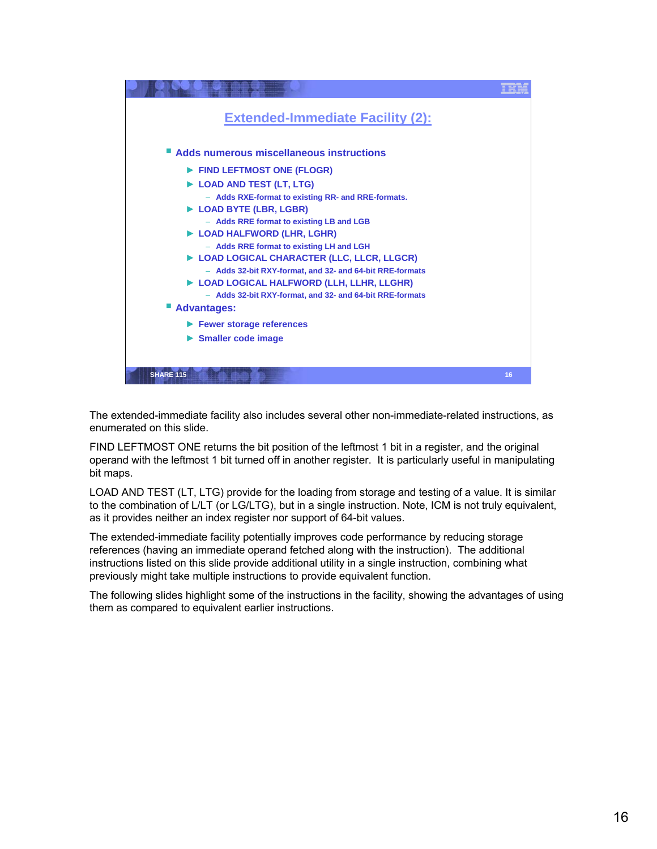

The extended-immediate facility also includes several other non-immediate-related instructions, as enumerated on this slide.

FIND LEFTMOST ONE returns the bit position of the leftmost 1 bit in a register, and the original operand with the leftmost 1 bit turned off in another register. It is particularly useful in manipulating bit maps.

LOAD AND TEST (LT, LTG) provide for the loading from storage and testing of a value. It is similar to the combination of L/LT (or LG/LTG), but in a single instruction. Note, ICM is not truly equivalent, as it provides neither an index register nor support of 64-bit values.

The extended-immediate facility potentially improves code performance by reducing storage references (having an immediate operand fetched along with the instruction). The additional instructions listed on this slide provide additional utility in a single instruction, combining what previously might take multiple instructions to provide equivalent function.

The following slides highlight some of the instructions in the facility, showing the advantages of using them as compared to equivalent earlier instructions.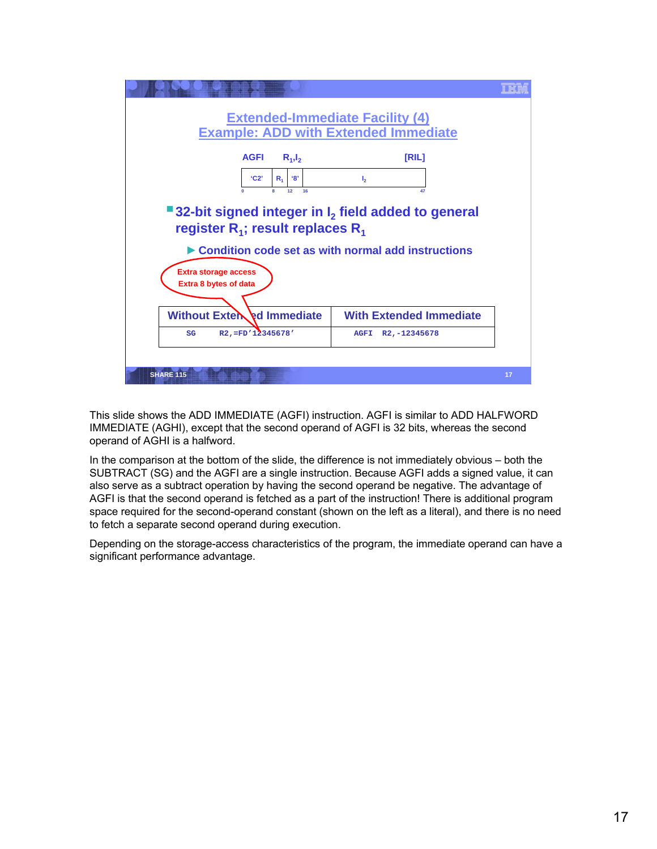

This slide shows the ADD IMMEDIATE (AGFI) instruction. AGFI is similar to ADD HALFWORD IMMEDIATE (AGHI), except that the second operand of AGFI is 32 bits, whereas the second operand of AGHI is a halfword.

In the comparison at the bottom of the slide, the difference is not immediately obvious – both the SUBTRACT (SG) and the AGFI are a single instruction. Because AGFI adds a signed value, it can also serve as a subtract operation by having the second operand be negative. The advantage of AGFI is that the second operand is fetched as a part of the instruction! There is additional program space required for the second-operand constant (shown on the left as a literal), and there is no need to fetch a separate second operand during execution.

Depending on the storage-access characteristics of the program, the immediate operand can have a significant performance advantage.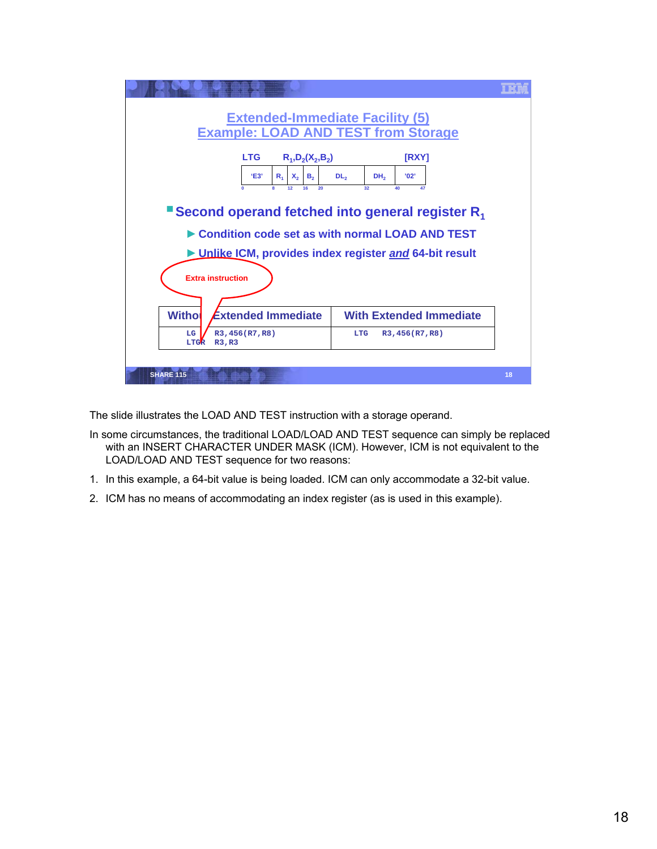

The slide illustrates the LOAD AND TEST instruction with a storage operand.

- In some circumstances, the traditional LOAD/LOAD AND TEST sequence can simply be replaced with an INSERT CHARACTER UNDER MASK (ICM). However, ICM is not equivalent to the LOAD/LOAD AND TEST sequence for two reasons:
- 1. In this example, a 64-bit value is being loaded. ICM can only accommodate a 32-bit value.
- 2. ICM has no means of accommodating an index register (as is used in this example).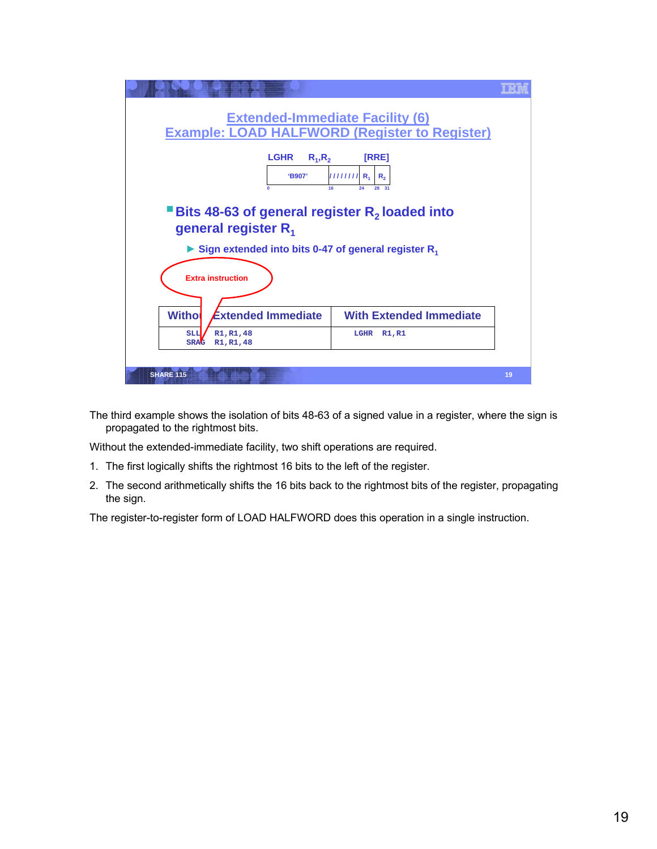

The third example shows the isolation of bits 48-63 of a signed value in a register, where the sign is propagated to the rightmost bits.

Without the extended-immediate facility, two shift operations are required.

- 1. The first logically shifts the rightmost 16 bits to the left of the register.
- 2. The second arithmetically shifts the 16 bits back to the rightmost bits of the register, propagating the sign.

The register-to-register form of LOAD HALFWORD does this operation in a single instruction.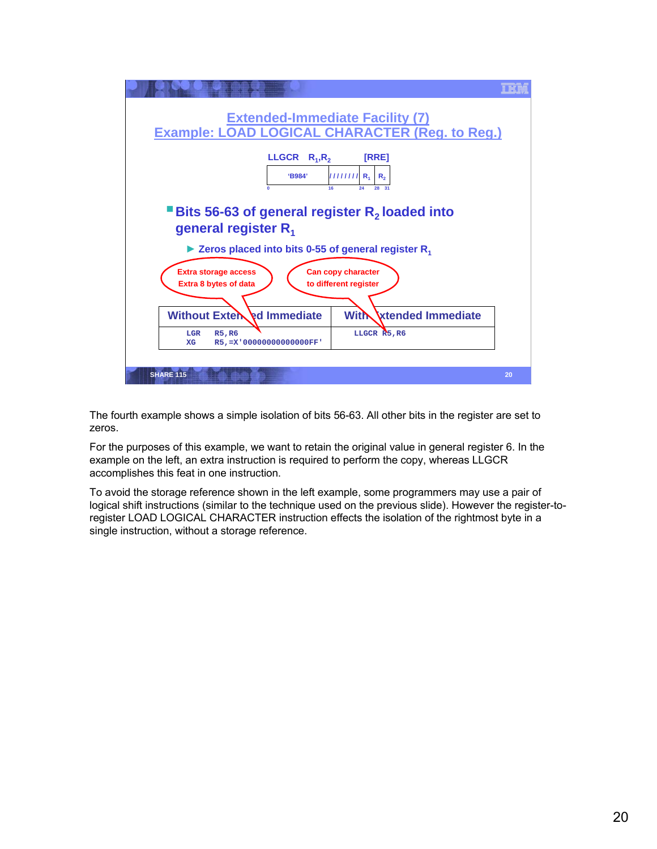

The fourth example shows a simple isolation of bits 56-63. All other bits in the register are set to zeros.

For the purposes of this example, we want to retain the original value in general register 6. In the example on the left, an extra instruction is required to perform the copy, whereas LLGCR accomplishes this feat in one instruction.

To avoid the storage reference shown in the left example, some programmers may use a pair of logical shift instructions (similar to the technique used on the previous slide). However the register-toregister LOAD LOGICAL CHARACTER instruction effects the isolation of the rightmost byte in a single instruction, without a storage reference.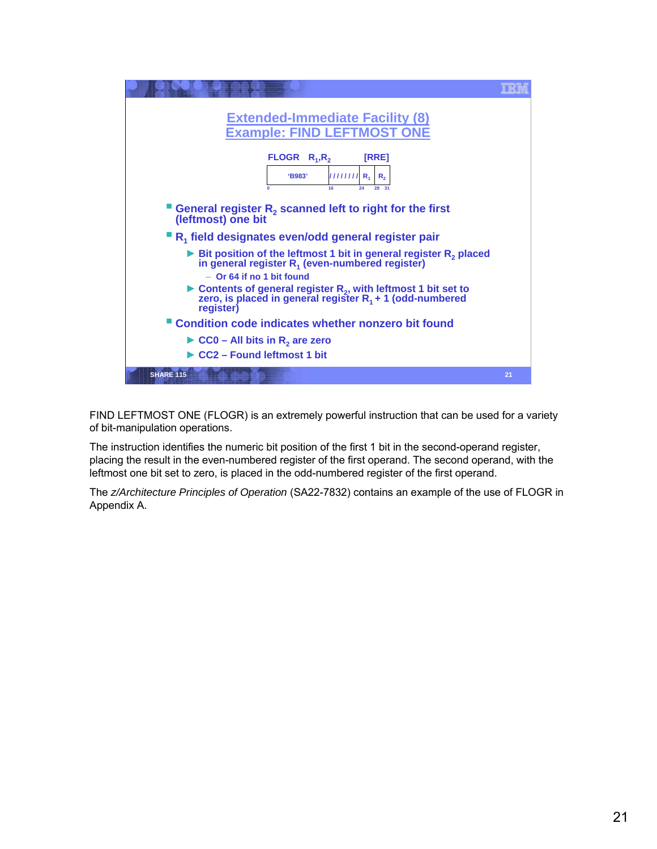

FIND LEFTMOST ONE (FLOGR) is an extremely powerful instruction that can be used for a variety of bit-manipulation operations.

The instruction identifies the numeric bit position of the first 1 bit in the second-operand register, placing the result in the even-numbered register of the first operand. The second operand, with the leftmost one bit set to zero, is placed in the odd-numbered register of the first operand.

The *z/Architecture Principles of Operation* (SA22-7832) contains an example of the use of FLOGR in Appendix A.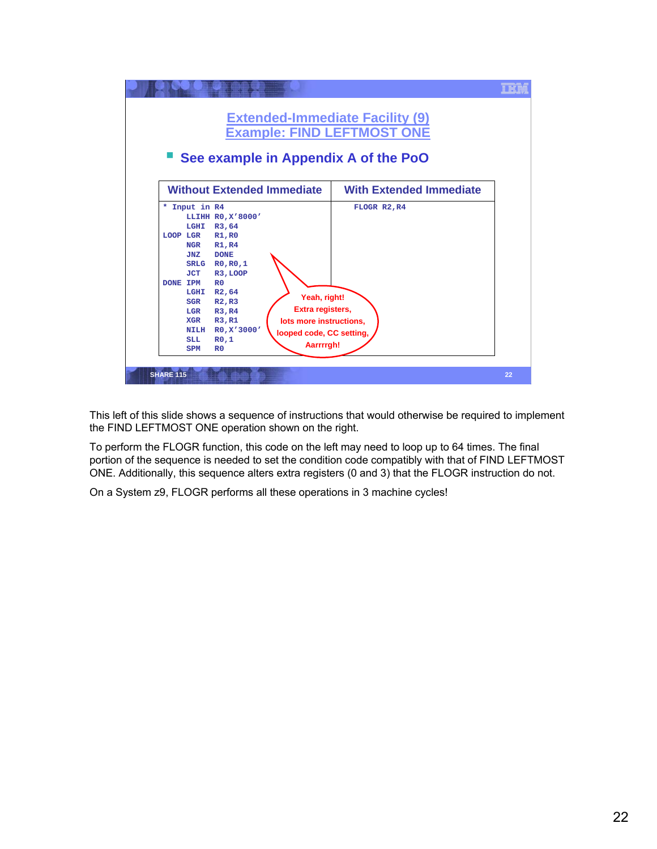

This left of this slide shows a sequence of instructions that would otherwise be required to implement the FIND LEFTMOST ONE operation shown on the right.

To perform the FLOGR function, this code on the left may need to loop up to 64 times. The final portion of the sequence is needed to set the condition code compatibly with that of FIND LEFTMOST ONE. Additionally, this sequence alters extra registers (0 and 3) that the FLOGR instruction do not.

On a System z9, FLOGR performs all these operations in 3 machine cycles!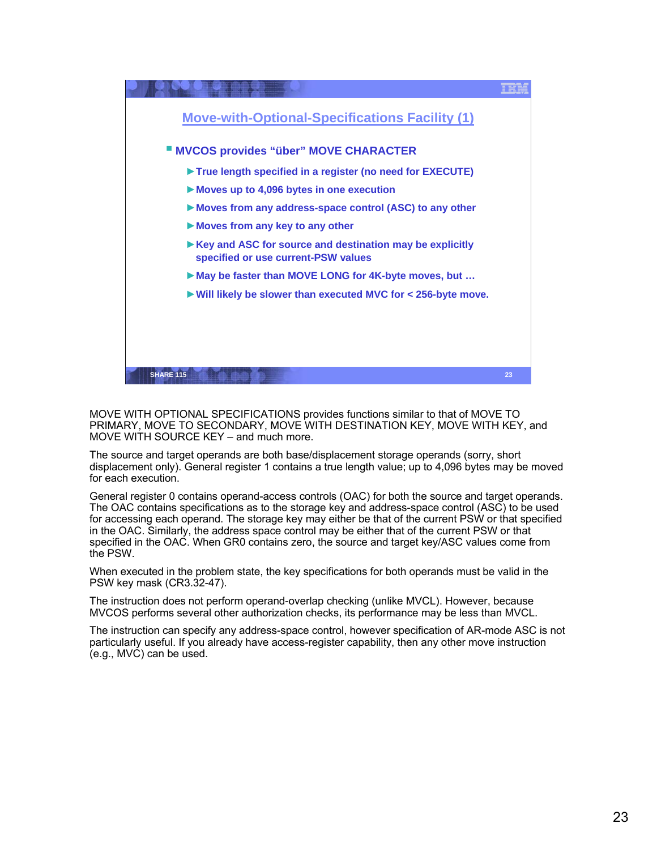

MOVE WITH OPTIONAL SPECIFICATIONS provides functions similar to that of MOVE TO PRIMARY, MOVE TO SECONDARY, MOVE WITH DESTINATION KEY, MOVE WITH KEY, and MOVE WITH SOURCE KEY – and much more.

The source and target operands are both base/displacement storage operands (sorry, short displacement only). General register 1 contains a true length value; up to 4,096 bytes may be moved for each execution.

General register 0 contains operand-access controls (OAC) for both the source and target operands. The OAC contains specifications as to the storage key and address-space control (ASC) to be used for accessing each operand. The storage key may either be that of the current PSW or that specified in the OAC. Similarly, the address space control may be either that of the current PSW or that specified in the OAC. When GR0 contains zero, the source and target key/ASC values come from the PSW.

When executed in the problem state, the key specifications for both operands must be valid in the PSW key mask (CR3.32-47).

The instruction does not perform operand-overlap checking (unlike MVCL). However, because MVCOS performs several other authorization checks, its performance may be less than MVCL.

The instruction can specify any address-space control, however specification of AR-mode ASC is not particularly useful. If you already have access-register capability, then any other move instruction (e.g., MVC) can be used.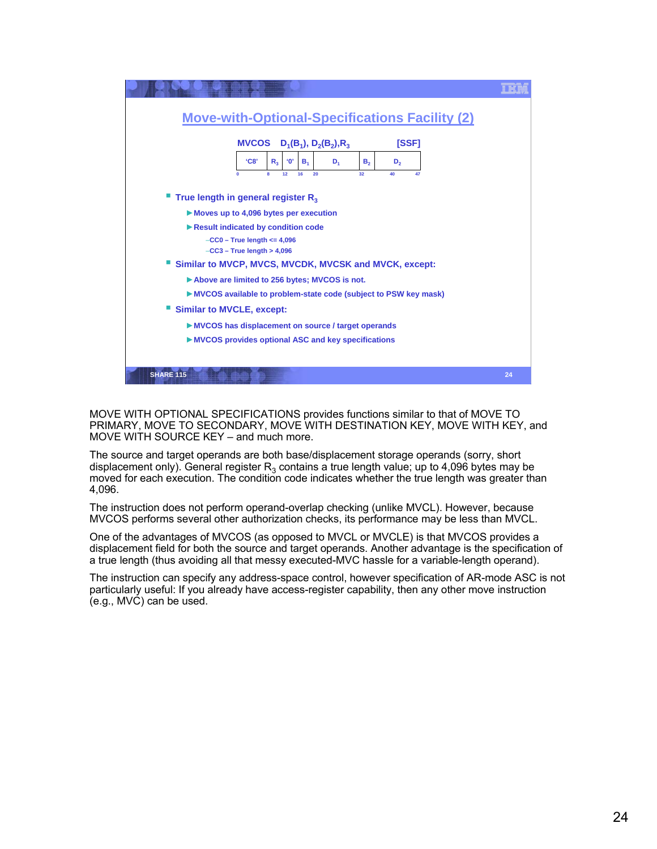

MOVE WITH OPTIONAL SPECIFICATIONS provides functions similar to that of MOVE TO PRIMARY, MOVE TO SECONDARY, MOVE WITH DESTINATION KEY, MOVE WITH KEY, and MOVE WITH SOURCE KEY – and much more.

The source and target operands are both base/displacement storage operands (sorry, short displacement only). General register  $R<sub>3</sub>$  contains a true length value; up to 4,096 bytes may be moved for each execution. The condition code indicates whether the true length was greater than 4,096.

The instruction does not perform operand-overlap checking (unlike MVCL). However, because MVCOS performs several other authorization checks, its performance may be less than MVCL.

One of the advantages of MVCOS (as opposed to MVCL or MVCLE) is that MVCOS provides a displacement field for both the source and target operands. Another advantage is the specification of a true length (thus avoiding all that messy executed-MVC hassle for a variable-length operand).

The instruction can specify any address-space control, however specification of AR-mode ASC is not particularly useful: If you already have access-register capability, then any other move instruction (e.g., MVC) can be used.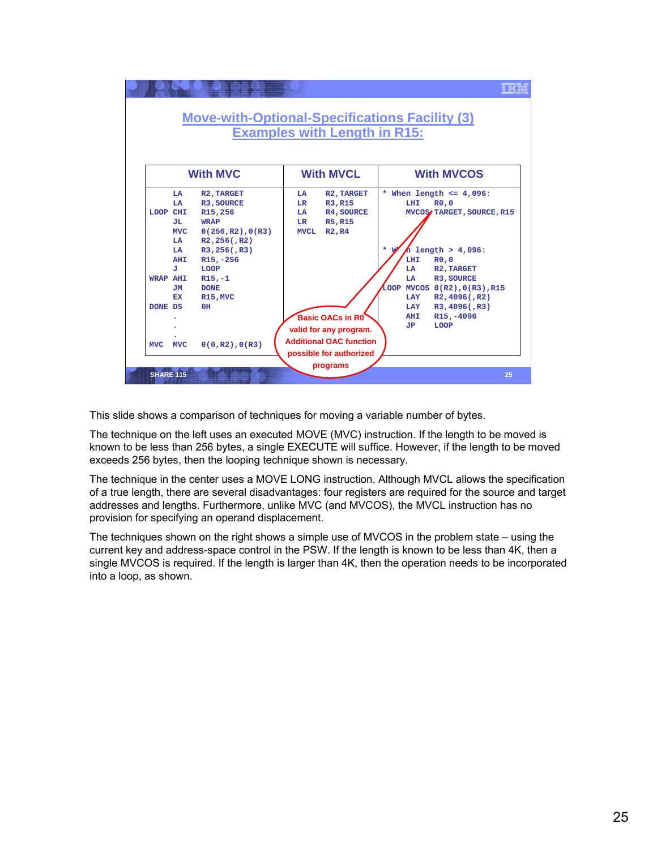

This slide shows a comparison of techniques for moving a variable number of bytes.

The technique on the left uses an executed MOVE (MVC) instruction. If the length to be moved is known to be less than 256 bytes, a single EXECUTE will suffice. However, if the length to be moved exceeds 256 bytes, then the looping technique shown is necessary.

The technique in the center uses a MOVE LONG instruction. Although MVCL allows the specification of a true length, there are several disadvantages: four registers are required for the source and target addresses and lengths. Furthermore, unlike MVC (and MVCOS), the MVCL instruction has no provision for specifying an operand displacement.

The techniques shown on the right shows a simple use of MVCOS in the problem state – using the current key and address-space control in the PSW. If the length is known to be less than 4K, then a single MVCOS is required. If the length is larger than 4K, then the operation needs to be incorporated into a loop, as shown.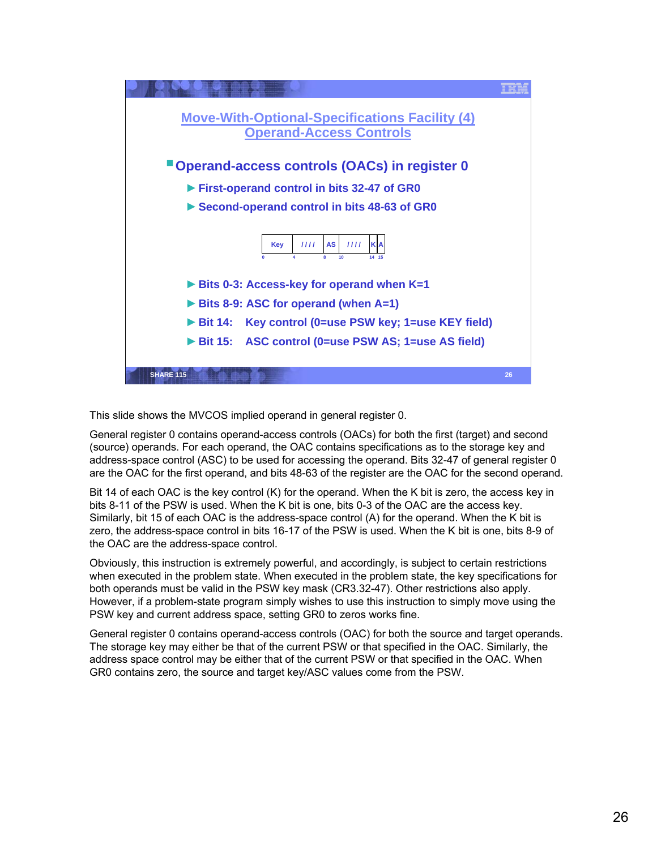

This slide shows the MVCOS implied operand in general register 0.

General register 0 contains operand-access controls (OACs) for both the first (target) and second (source) operands. For each operand, the OAC contains specifications as to the storage key and address-space control (ASC) to be used for accessing the operand. Bits 32-47 of general register 0 are the OAC for the first operand, and bits 48-63 of the register are the OAC for the second operand.

Bit 14 of each OAC is the key control (K) for the operand. When the K bit is zero, the access key in bits 8-11 of the PSW is used. When the K bit is one, bits 0-3 of the OAC are the access key. Similarly, bit 15 of each OAC is the address-space control (A) for the operand. When the K bit is zero, the address-space control in bits 16-17 of the PSW is used. When the K bit is one, bits 8-9 of the OAC are the address-space control.

Obviously, this instruction is extremely powerful, and accordingly, is subject to certain restrictions when executed in the problem state. When executed in the problem state, the key specifications for both operands must be valid in the PSW key mask (CR3.32-47). Other restrictions also apply. However, if a problem-state program simply wishes to use this instruction to simply move using the PSW key and current address space, setting GR0 to zeros works fine.

General register 0 contains operand-access controls (OAC) for both the source and target operands. The storage key may either be that of the current PSW or that specified in the OAC. Similarly, the address space control may be either that of the current PSW or that specified in the OAC. When GR0 contains zero, the source and target key/ASC values come from the PSW.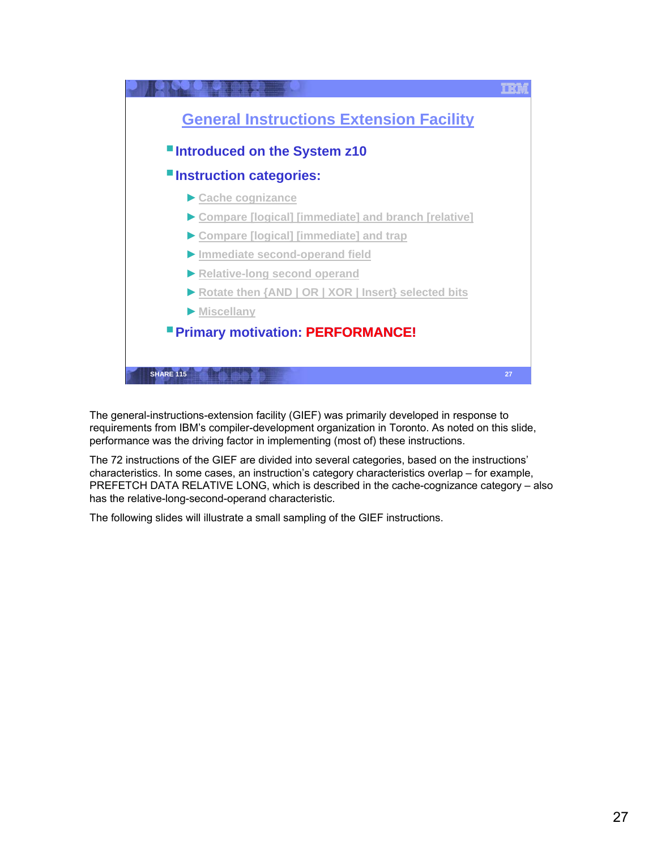

The general-instructions-extension facility (GIEF) was primarily developed in response to requirements from IBM's compiler-development organization in Toronto. As noted on this slide, performance was the driving factor in implementing (most of) these instructions.

The 72 instructions of the GIEF are divided into several categories, based on the instructions' characteristics. In some cases, an instruction's category characteristics overlap – for example, PREFETCH DATA RELATIVE LONG, which is described in the cache-cognizance category – also has the relative-long-second-operand characteristic.

The following slides will illustrate a small sampling of the GIEF instructions.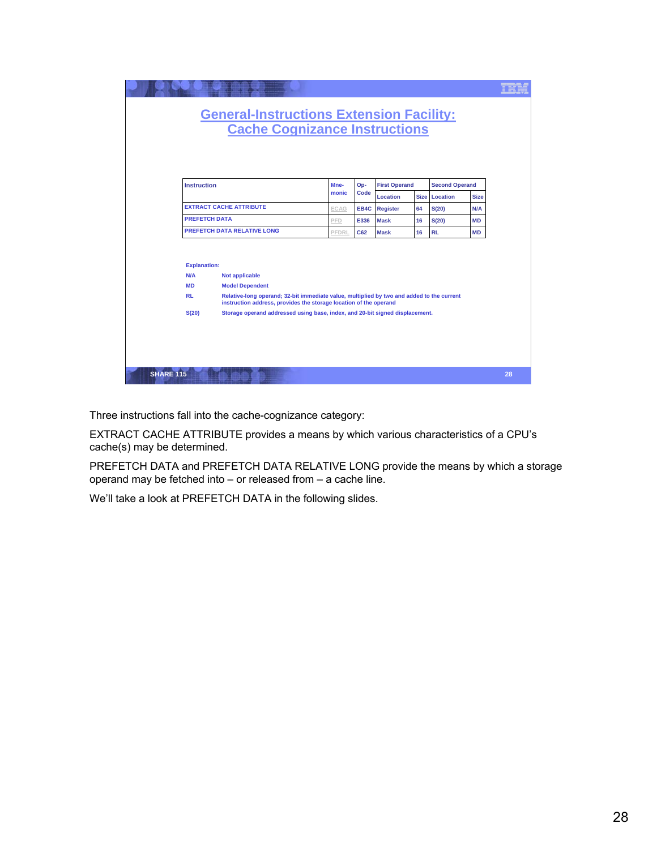|                  |                                                      | <b>General-Instructions Extension Facility:</b><br><b>Cache Cognizance Instructions</b>                                                                                                                           |       |      |                      |    |                       |             |    |
|------------------|------------------------------------------------------|-------------------------------------------------------------------------------------------------------------------------------------------------------------------------------------------------------------------|-------|------|----------------------|----|-----------------------|-------------|----|
|                  | <b>Instruction</b>                                   |                                                                                                                                                                                                                   | Mne-  | Op-  | <b>First Operand</b> |    | <b>Second Operand</b> |             |    |
|                  |                                                      |                                                                                                                                                                                                                   | monic | Code | <b>Location</b>      |    | Size Location         | <b>Size</b> |    |
|                  |                                                      | <b>EXTRACT CACHE ATTRIBUTE</b>                                                                                                                                                                                    | ECAG  |      | <b>EB4C</b> Register | 64 | S(20)                 | N/A         |    |
|                  | <b>PREFETCH DATA</b>                                 |                                                                                                                                                                                                                   | PFD   | E336 | <b>Mask</b>          | 16 | S(20)                 | MD          |    |
|                  |                                                      | <b>PREFETCH DATA RELATIVE LONG</b><br><b>PFDRL</b><br>C62<br><b>Mask</b><br>16<br><b>RL</b><br>MD                                                                                                                 |       |      |                      |    |                       |             |    |
|                  | <b>Explanation:</b><br>N/A<br><b>MD</b><br><b>RL</b> | <b>Not applicable</b><br><b>Model Dependent</b><br>Relative-long operand; 32-bit immediate value, multiplied by two and added to the current<br>instruction address, provides the storage location of the operand |       |      |                      |    |                       |             |    |
|                  | S(20)                                                | Storage operand addressed using base, index, and 20-bit signed displacement.                                                                                                                                      |       |      |                      |    |                       |             |    |
| <b>SHARE 115</b> |                                                      |                                                                                                                                                                                                                   |       |      |                      |    |                       |             | 28 |

Three instructions fall into the cache-cognizance category:

EXTRACT CACHE ATTRIBUTE provides a means by which various characteristics of a CPU's cache(s) may be determined.

PREFETCH DATA and PREFETCH DATA RELATIVE LONG provide the means by which a storage operand may be fetched into – or released from – a cache line.

We'll take a look at PREFETCH DATA in the following slides.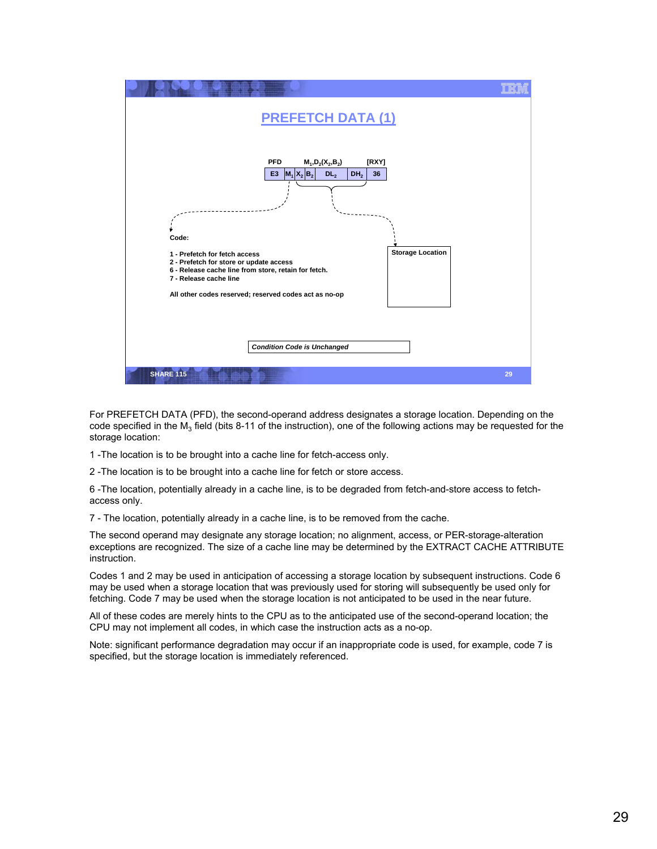

For PREFETCH DATA (PFD), the second-operand address designates a storage location. Depending on the code specified in the  $M_3$  field (bits 8-11 of the instruction), one of the following actions may be requested for the storage location:

1 -The location is to be brought into a cache line for fetch-access only.

2 -The location is to be brought into a cache line for fetch or store access.

6 -The location, potentially already in a cache line, is to be degraded from fetch-and-store access to fetchaccess only.

7 - The location, potentially already in a cache line, is to be removed from the cache.

The second operand may designate any storage location; no alignment, access, or PER-storage-alteration exceptions are recognized. The size of a cache line may be determined by the EXTRACT CACHE ATTRIBUTE instruction.

Codes 1 and 2 may be used in anticipation of accessing a storage location by subsequent instructions. Code 6 may be used when a storage location that was previously used for storing will subsequently be used only for fetching. Code 7 may be used when the storage location is not anticipated to be used in the near future.

All of these codes are merely hints to the CPU as to the anticipated use of the second-operand location; the CPU may not implement all codes, in which case the instruction acts as a no-op.

Note: significant performance degradation may occur if an inappropriate code is used, for example, code 7 is specified, but the storage location is immediately referenced.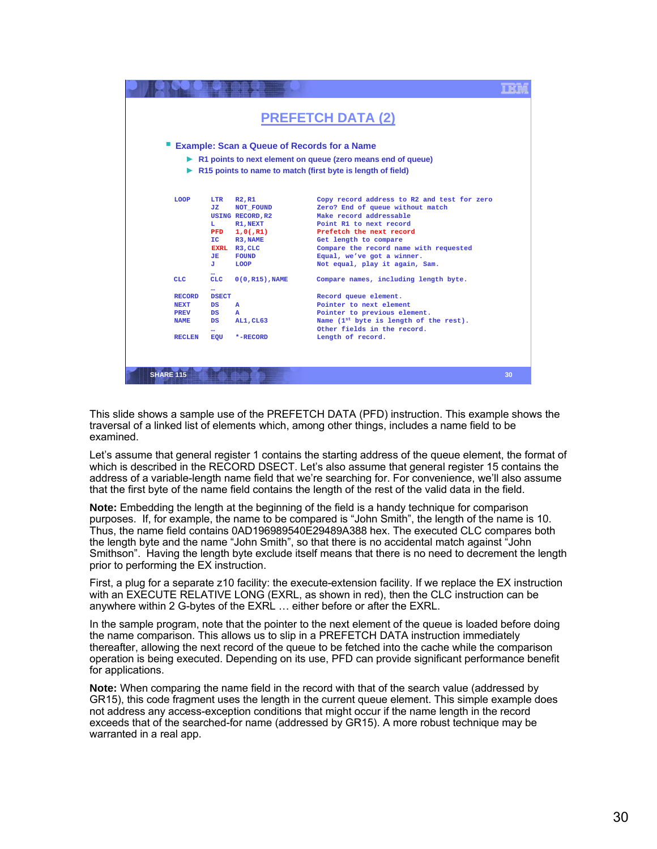| <b>PREFETCH DATA (2)</b>                                     |                    |                                                                              |    |  |  |  |  |  |
|--------------------------------------------------------------|--------------------|------------------------------------------------------------------------------|----|--|--|--|--|--|
|                                                              |                    | <b>Example: Scan a Queue of Records for a Name</b>                           |    |  |  |  |  |  |
| R1 points to next element on queue (zero means end of queue) |                    |                                                                              |    |  |  |  |  |  |
|                                                              |                    | $\triangleright$ R15 points to name to match (first byte is length of field) |    |  |  |  |  |  |
|                                                              |                    |                                                                              |    |  |  |  |  |  |
|                                                              |                    |                                                                              |    |  |  |  |  |  |
| <b>LOOP</b><br>LTR                                           | R2, R1             | Copy record address to R2 and test for zero                                  |    |  |  |  |  |  |
| JZ.                                                          | NOT FOUND          | Zero? End of queue without match                                             |    |  |  |  |  |  |
|                                                              | USING RECORD, R2   | Make record addressable                                                      |    |  |  |  |  |  |
| L.                                                           | R1.NEXT            | Point R1 to next record                                                      |    |  |  |  |  |  |
| <b>PFD</b>                                                   | 1.0(.R1)           | Prefetch the next record                                                     |    |  |  |  |  |  |
| IC.                                                          | R3. NAME           | Get length to compare                                                        |    |  |  |  |  |  |
|                                                              | EXRL R3, CLC       | Compare the record name with requested                                       |    |  |  |  |  |  |
| JE.                                                          | <b>FOUND</b>       | Equal, we've got a winner.                                                   |    |  |  |  |  |  |
| J.                                                           | <b>LOOP</b>        | Not equal, play it again, Sam.                                               |    |  |  |  |  |  |
|                                                              |                    |                                                                              |    |  |  |  |  |  |
| <b>CLC</b><br><b>CLC</b>                                     | $0(0, R15)$ , NAME | Compare names, including length byte.                                        |    |  |  |  |  |  |
| <b>RECORD</b>                                                | <b>DSECT</b>       |                                                                              |    |  |  |  |  |  |
| <b>NEXT</b><br><b>DS</b>                                     |                    | Record queue element.                                                        |    |  |  |  |  |  |
| <b>PREV</b><br><b>DS</b>                                     | $\mathbf{A}$<br>A  | Pointer to next element<br>Pointer to previous element.                      |    |  |  |  |  |  |
| <b>NAME</b><br><b>DS</b>                                     | <b>AL1.CL63</b>    | Name (1st byte is length of the rest).                                       |    |  |  |  |  |  |
|                                                              |                    | Other fields in the record.                                                  |    |  |  |  |  |  |
| $\cdots$<br><b>RECLEN</b><br>EOU                             | *-RECORD           | Length of record.                                                            |    |  |  |  |  |  |
|                                                              |                    |                                                                              |    |  |  |  |  |  |
|                                                              |                    |                                                                              |    |  |  |  |  |  |
|                                                              |                    |                                                                              |    |  |  |  |  |  |
|                                                              |                    |                                                                              |    |  |  |  |  |  |
| <b>SHARE 115</b>                                             |                    |                                                                              | 30 |  |  |  |  |  |
|                                                              |                    |                                                                              |    |  |  |  |  |  |

This slide shows a sample use of the PREFETCH DATA (PFD) instruction. This example shows the traversal of a linked list of elements which, among other things, includes a name field to be examined.

Let's assume that general register 1 contains the starting address of the queue element, the format of which is described in the RECORD DSECT. Let's also assume that general register 15 contains the address of a variable-length name field that we're searching for. For convenience, we'll also assume that the first byte of the name field contains the length of the rest of the valid data in the field.

**Note:** Embedding the length at the beginning of the field is a handy technique for comparison purposes. If, for example, the name to be compared is "John Smith", the length of the name is 10. Thus, the name field contains 0AD196989540E29489A388 hex. The executed CLC compares both the length byte and the name "John Smith", so that there is no accidental match against "John Smithson". Having the length byte exclude itself means that there is no need to decrement the length prior to performing the EX instruction.

First, a plug for a separate z10 facility: the execute-extension facility. If we replace the EX instruction with an EXECUTE RELATIVE LONG (EXRL, as shown in red), then the CLC instruction can be anywhere within 2 G-bytes of the EXRL … either before or after the EXRL.

In the sample program, note that the pointer to the next element of the queue is loaded before doing the name comparison. This allows us to slip in a PREFETCH DATA instruction immediately thereafter, allowing the next record of the queue to be fetched into the cache while the comparison operation is being executed. Depending on its use, PFD can provide significant performance benefit for applications.

**Note:** When comparing the name field in the record with that of the search value (addressed by GR15), this code fragment uses the length in the current queue element. This simple example does not address any access-exception conditions that might occur if the name length in the record exceeds that of the searched-for name (addressed by GR15). A more robust technique may be warranted in a real app.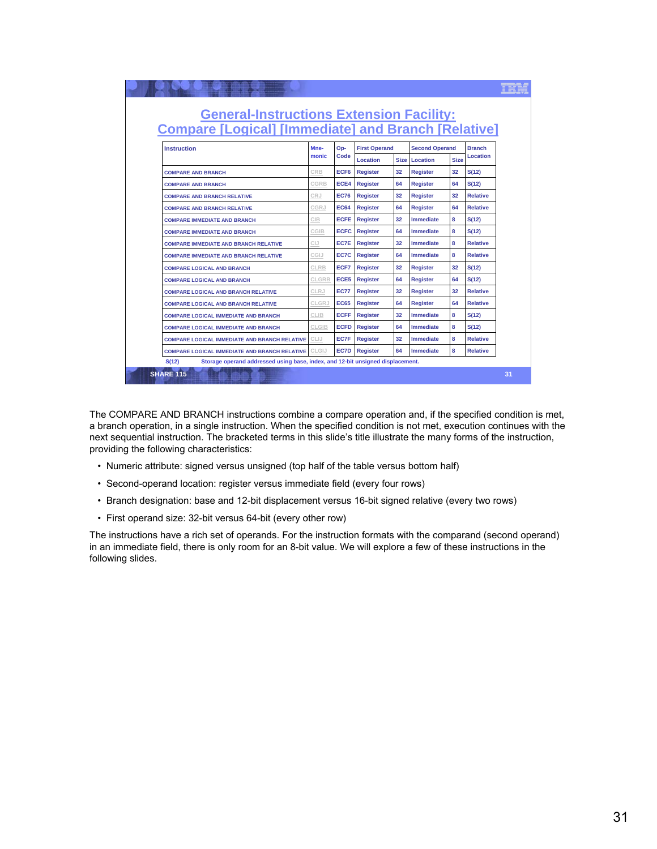| <b>General-Instructions Extension Facility:</b><br><b>Compare [Logical] [Immediate] and Branch [Relative]</b> |       |                  |                      |             |                       |             |                 |
|---------------------------------------------------------------------------------------------------------------|-------|------------------|----------------------|-------------|-----------------------|-------------|-----------------|
| <b>Instruction</b>                                                                                            | Mne-  | Op-              | <b>First Operand</b> |             | <b>Second Operand</b> |             | <b>Branch</b>   |
| monic                                                                                                         |       | Code             | Location             | <b>Size</b> | Location              | <b>Size</b> | Location        |
| <b>COMPARE AND BRANCH</b>                                                                                     | CRB   | ECF <sub>6</sub> | <b>Register</b>      | 32          | <b>Register</b>       | 32          | S(12)           |
| <b>COMPARE AND BRANCH</b>                                                                                     | CGRB  | ECE4             | <b>Register</b>      | 64          | <b>Register</b>       | 64          | S(12)           |
| <b>COMPARE AND BRANCH RELATIVE</b>                                                                            | CRJ   | <b>EC76</b>      | <b>Register</b>      | 32          | <b>Register</b>       | 32          | <b>Relative</b> |
| <b>COMPARE AND BRANCH RELATIVE</b>                                                                            | CGRJ  | <b>EC64</b>      | <b>Register</b>      | 64          | <b>Register</b>       | 64          | <b>Relative</b> |
| <b>COMPARE IMMEDIATE AND BRANCH</b>                                                                           | CIB   | <b>ECFE</b>      | <b>Register</b>      | 32          | <b>Immediate</b>      | 8           | S(12)           |
| <b>COMPARE IMMEDIATE AND BRANCH</b>                                                                           | CGIB  | <b>ECFC</b>      | <b>Register</b>      | 64          | <b>Immediate</b>      | 8           | S(12)           |
| <b>COMPARE IMMEDIATE AND BRANCH RELATIVE</b>                                                                  | CIJ   | EC7E             | <b>Register</b>      | 32          | <b>Immediate</b>      | 8           | <b>Relative</b> |
| <b>COMPARE IMMEDIATE AND BRANCH RELATIVE</b>                                                                  | CGIJ  | EC7C             | <b>Register</b>      | 64          | <b>Immediate</b>      | 8           | <b>Relative</b> |
| <b>COMPARE LOGICAL AND BRANCH</b>                                                                             | CLRB  | ECF7             | <b>Register</b>      | 32          | <b>Register</b>       | 32          | S(12)           |
| <b>COMPARE LOGICAL AND BRANCH</b>                                                                             | CLGRB | ECE5             | <b>Register</b>      | 64          | <b>Register</b>       | 64          | S(12)           |
| <b>COMPARE LOGICAL AND BRANCH RELATIVE</b>                                                                    | CLRJ  | <b>EC77</b>      | <b>Register</b>      | 32          | <b>Register</b>       | 32          | <b>Relative</b> |
| <b>COMPARE LOGICAL AND BRANCH RELATIVE</b>                                                                    | CLGRJ | <b>EC65</b>      | <b>Register</b>      | 64          | <b>Register</b>       | 64          | <b>Relative</b> |
| <b>COMPARE LOGICAL IMMEDIATE AND BRANCH</b>                                                                   | CLIB  | <b>ECFF</b>      | <b>Register</b>      | 32          | <b>Immediate</b>      | 8           | S(12)           |
| <b>COMPARE LOGICAL IMMEDIATE AND BRANCH</b>                                                                   | CLGIB | <b>ECFD</b>      | <b>Register</b>      | 64          | <b>Immediate</b>      | 8           | S(12)           |
| <b>COMPARE LOGICAL IMMEDIATE AND BRANCH RELATIVE</b>                                                          | CLIJ  | EC7F             | <b>Register</b>      | 32          | <b>Immediate</b>      | 8           | <b>Relative</b> |
| <b>COMPARE LOGICAL IMMEDIATE AND BRANCH RELATIVE</b>                                                          | CLGIJ | EC7D             | <b>Register</b>      | 64          | Immediate             | 8           | <b>Relative</b> |
| S(12)<br>Storage operand addressed using base, index, and 12-bit unsigned displacement.                       |       |                  |                      |             |                       |             |                 |
|                                                                                                               |       |                  |                      |             |                       |             |                 |

The COMPARE AND BRANCH instructions combine a compare operation and, if the specified condition is met, a branch operation, in a single instruction. When the specified condition is not met, execution continues with the next sequential instruction. The bracketed terms in this slide's title illustrate the many forms of the instruction, providing the following characteristics:

- Numeric attribute: signed versus unsigned (top half of the table versus bottom half)
- Second-operand location: register versus immediate field (every four rows)
- Branch designation: base and 12-bit displacement versus 16-bit signed relative (every two rows)
- First operand size: 32-bit versus 64-bit (every other row)

The instructions have a rich set of operands. For the instruction formats with the comparand (second operand) in an immediate field, there is only room for an 8-bit value. We will explore a few of these instructions in the following slides.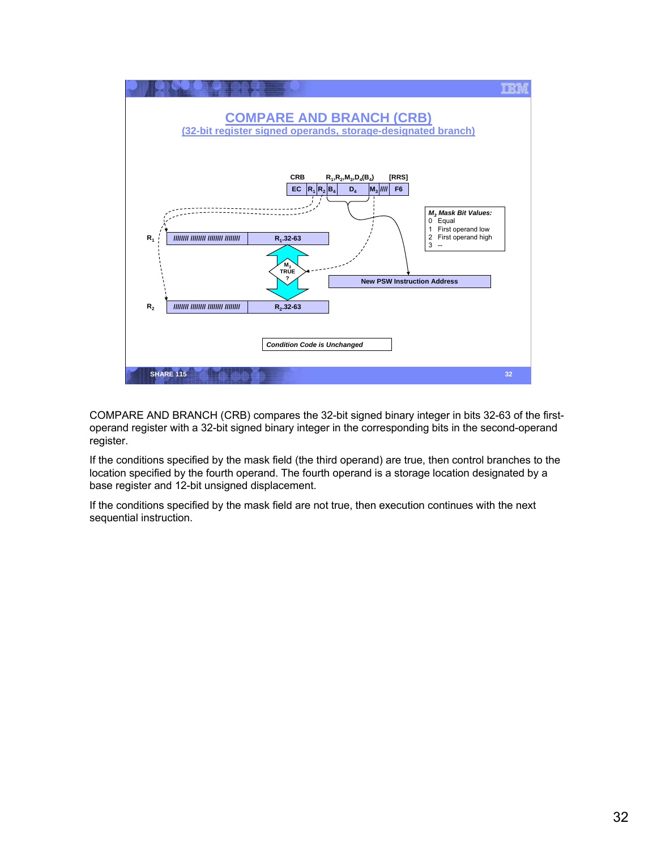

COMPARE AND BRANCH (CRB) compares the 32-bit signed binary integer in bits 32-63 of the firstoperand register with a 32-bit signed binary integer in the corresponding bits in the second-operand register.

If the conditions specified by the mask field (the third operand) are true, then control branches to the location specified by the fourth operand. The fourth operand is a storage location designated by a base register and 12-bit unsigned displacement.

If the conditions specified by the mask field are not true, then execution continues with the next sequential instruction.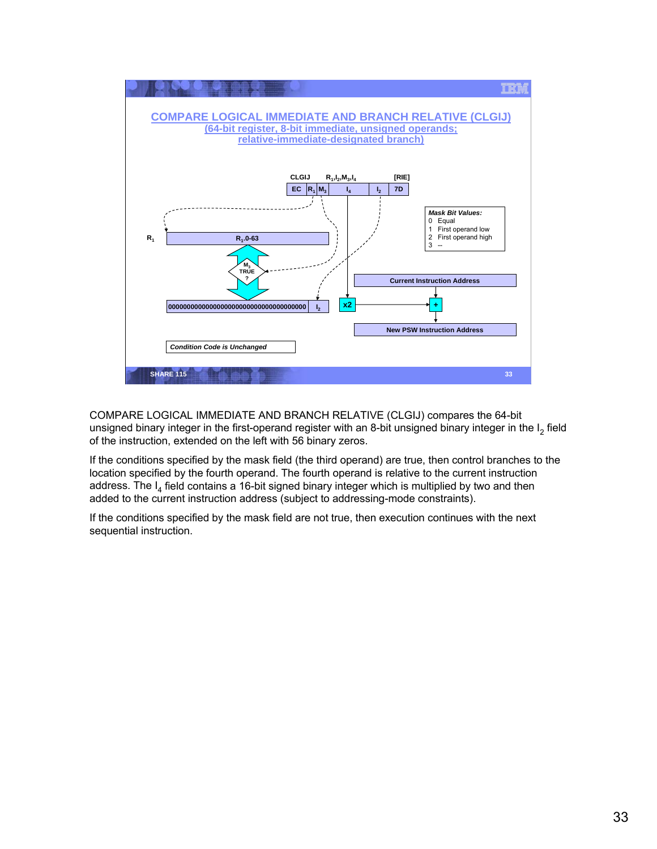

COMPARE LOGICAL IMMEDIATE AND BRANCH RELATIVE (CLGIJ) compares the 64-bit unsigned binary integer in the first-operand register with an 8-bit unsigned binary integer in the  $I_2$  field of the instruction, extended on the left with 56 binary zeros.

If the conditions specified by the mask field (the third operand) are true, then control branches to the location specified by the fourth operand. The fourth operand is relative to the current instruction address. The  $I_4$  field contains a 16-bit signed binary integer which is multiplied by two and then added to the current instruction address (subject to addressing-mode constraints).

If the conditions specified by the mask field are not true, then execution continues with the next sequential instruction.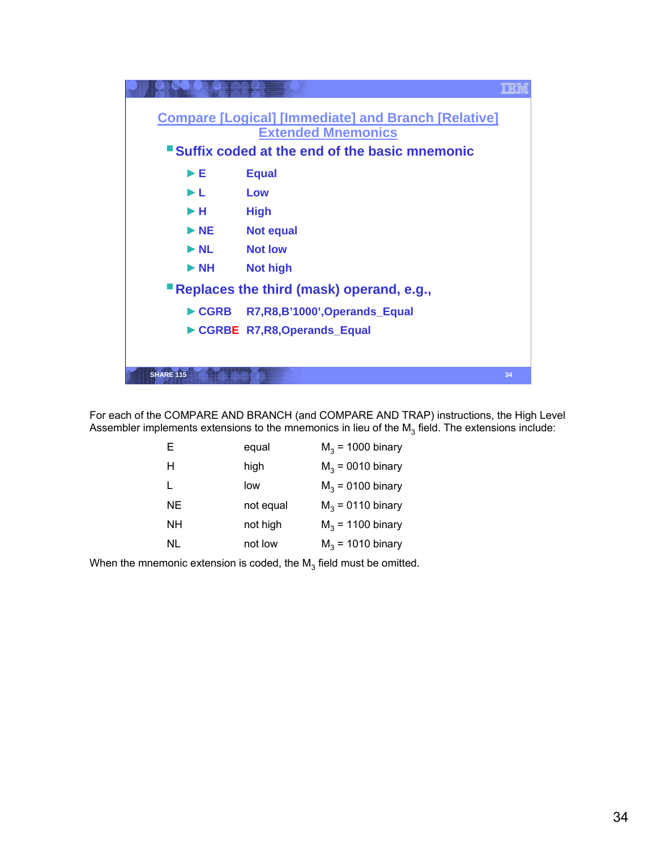

For each of the COMPARE AND BRANCH (and COMPARE AND TRAP) instructions, the High Level Assembler implements extensions to the mnemonics in lieu of the  $M_3$  field. The extensions include:

| E   | equal     | $M3$ = 1000 binary |
|-----|-----------|--------------------|
| н   | high      | $M3 = 0010$ binary |
| L   | low       | $M3 = 0100$ binary |
| NF. | not equal | $M3 = 0110$ binary |
| NΗ  | not high  | $M3$ = 1100 binary |
| NL  | not low   | $M3$ = 1010 binary |

When the mnemonic extension is coded, the  $M_3$  field must be omitted.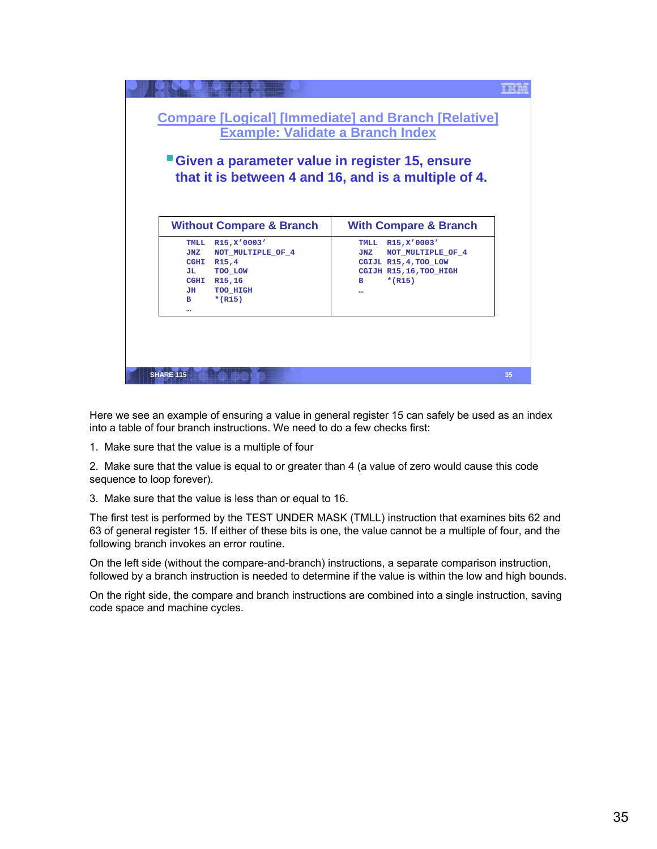| <b>Compare [Logical] [Immediate] and Branch [Relative]</b><br><b>Example: Validate a Branch Index</b><br>"Given a parameter value in register 15, ensure<br>that it is between 4 and 16, and is a multiple of 4. |                                                                                                                              |
|------------------------------------------------------------------------------------------------------------------------------------------------------------------------------------------------------------------|------------------------------------------------------------------------------------------------------------------------------|
| <b>Without Compare &amp; Branch</b>                                                                                                                                                                              | <b>With Compare &amp; Branch</b>                                                                                             |
| TMLL R15, X'0003'<br>NOT MULTIPLE OF 4<br><b>JNZ</b><br>CGHI R15,4<br>TOO LOW<br>JL 1<br>CGHI R15,16<br>JH<br>TOO HIGH<br>$*(R15)$<br>B.<br>                                                                     | R15, X'0003'<br>TMLL<br>NOT MULTIPLE OF 4<br><b>JNZ</b><br>CGIJL R15, 4, TOO LOW<br>CGIJH R15, 16, TOO_HIGH<br>$*(R15)$<br>в |
| <b>SHARE 115</b>                                                                                                                                                                                                 | 35                                                                                                                           |

Here we see an example of ensuring a value in general register 15 can safely be used as an index into a table of four branch instructions. We need to do a few checks first:

1. Make sure that the value is a multiple of four

2. Make sure that the value is equal to or greater than 4 (a value of zero would cause this code sequence to loop forever).

3. Make sure that the value is less than or equal to 16.

The first test is performed by the TEST UNDER MASK (TMLL) instruction that examines bits 62 and 63 of general register 15. If either of these bits is one, the value cannot be a multiple of four, and the following branch invokes an error routine.

On the left side (without the compare-and-branch) instructions, a separate comparison instruction, followed by a branch instruction is needed to determine if the value is within the low and high bounds.

On the right side, the compare and branch instructions are combined into a single instruction, saving code space and machine cycles.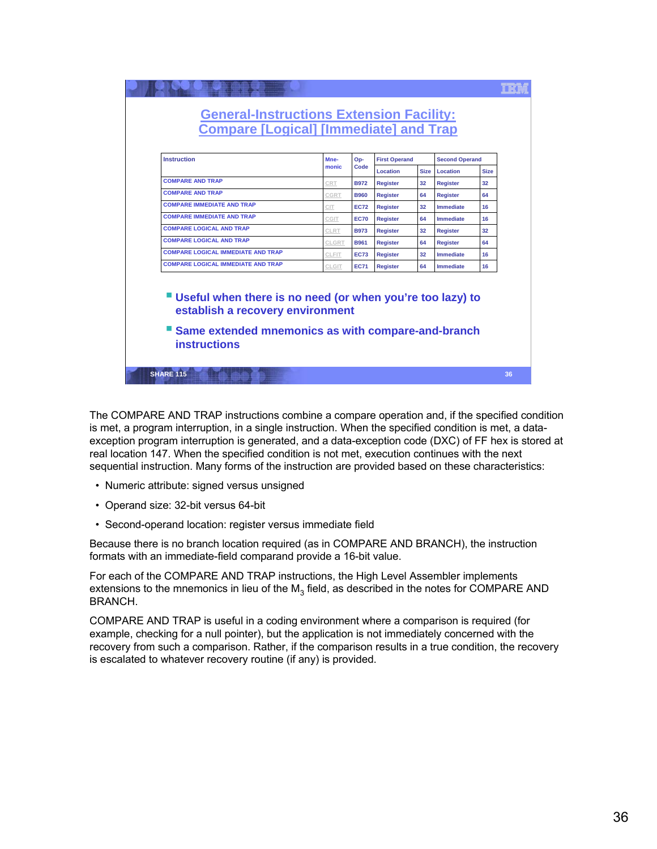| <b>Instruction</b>                                                                                                                                                   | Mne-  | Op-         | <b>First Operand</b> |                 | <b>Second Operand</b> |             |
|----------------------------------------------------------------------------------------------------------------------------------------------------------------------|-------|-------------|----------------------|-----------------|-----------------------|-------------|
|                                                                                                                                                                      | monic | Code        | Location             | <b>Size</b>     | Location              | <b>Size</b> |
| <b>COMPARE AND TRAP</b>                                                                                                                                              | CRT   | <b>B972</b> | <b>Register</b>      | 32              | <b>Register</b>       | 32          |
| <b>COMPARE AND TRAP</b>                                                                                                                                              | CGRT  | <b>B960</b> | <b>Register</b>      | 64              | <b>Register</b>       | 64          |
| <b>COMPARE IMMEDIATE AND TRAP</b>                                                                                                                                    | CIT.  | <b>EC72</b> | <b>Register</b>      | 32              | <b>Immediate</b>      | 16          |
| <b>COMPARE IMMEDIATE AND TRAP</b>                                                                                                                                    | CGIT  | <b>EC70</b> | <b>Register</b>      | 64              | <b>Immediate</b>      | 16          |
| <b>COMPARE LOGICAL AND TRAP</b>                                                                                                                                      | CLRT  | <b>B973</b> | <b>Register</b>      | 32              | <b>Register</b>       | 32          |
| <b>COMPARE LOGICAL AND TRAP</b>                                                                                                                                      | CLGRT | <b>B961</b> | <b>Register</b>      | 64              | Register              | 64          |
| <b>COMPARE LOGICAL IMMEDIATE AND TRAP</b>                                                                                                                            | CLFIT | <b>EC73</b> | <b>Register</b>      | 32 <sup>2</sup> | <b>Immediate</b>      | 16          |
| <b>COMPARE LOGICAL IMMEDIATE AND TRAP</b>                                                                                                                            | CLGIT | <b>EC71</b> | <b>Register</b>      | 64              | <b>Immediate</b>      | 16          |
| "Useful when there is no need (or when you're too lazy) to<br>establish a recovery environment<br>Same extended mnemonics as with compare-and-branch<br>instructions |       |             |                      |                 |                       |             |

The COMPARE AND TRAP instructions combine a compare operation and, if the specified condition is met, a program interruption, in a single instruction. When the specified condition is met, a dataexception program interruption is generated, and a data-exception code (DXC) of FF hex is stored at real location 147. When the specified condition is not met, execution continues with the next sequential instruction. Many forms of the instruction are provided based on these characteristics:

- Numeric attribute: signed versus unsigned
- Operand size: 32-bit versus 64-bit
- Second-operand location: register versus immediate field

Because there is no branch location required (as in COMPARE AND BRANCH), the instruction formats with an immediate-field comparand provide a 16-bit value.

For each of the COMPARE AND TRAP instructions, the High Level Assembler implements extensions to the mnemonics in lieu of the  $M_3$  field, as described in the notes for COMPARE AND BRANCH.

COMPARE AND TRAP is useful in a coding environment where a comparison is required (for example, checking for a null pointer), but the application is not immediately concerned with the recovery from such a comparison. Rather, if the comparison results in a true condition, the recovery is escalated to whatever recovery routine (if any) is provided.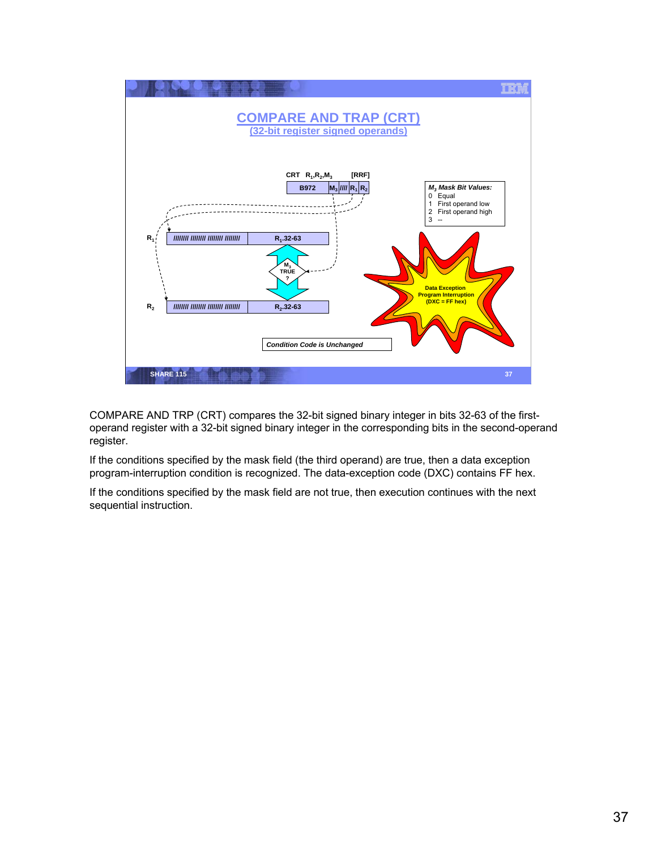

COMPARE AND TRP (CRT) compares the 32-bit signed binary integer in bits 32-63 of the firstoperand register with a 32-bit signed binary integer in the corresponding bits in the second-operand register.

If the conditions specified by the mask field (the third operand) are true, then a data exception program-interruption condition is recognized. The data-exception code (DXC) contains FF hex.

If the conditions specified by the mask field are not true, then execution continues with the next sequential instruction.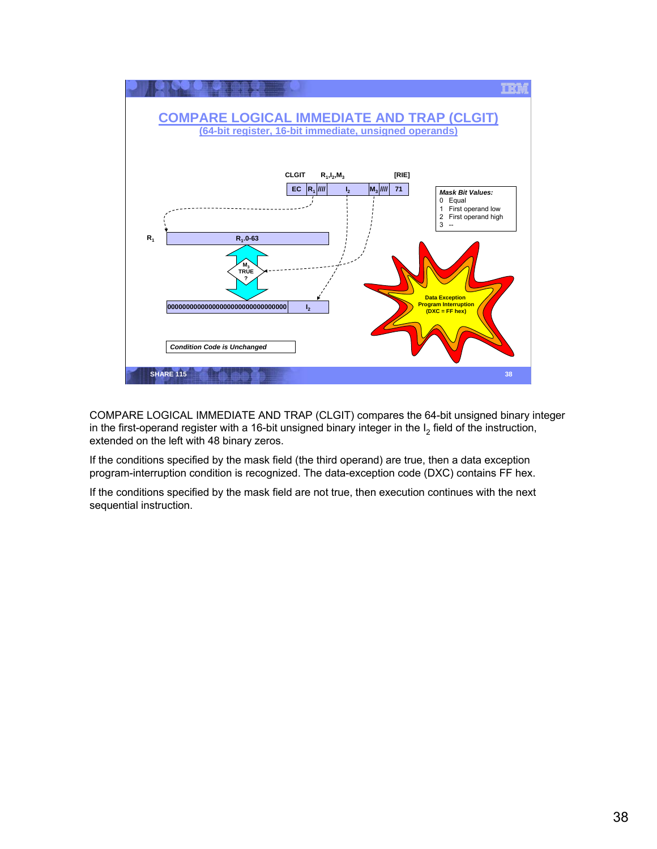

COMPARE LOGICAL IMMEDIATE AND TRAP (CLGIT) compares the 64-bit unsigned binary integer in the first-operand register with a 16-bit unsigned binary integer in the  $I_2$  field of the instruction, extended on the left with 48 binary zeros.

If the conditions specified by the mask field (the third operand) are true, then a data exception program-interruption condition is recognized. The data-exception code (DXC) contains FF hex.

If the conditions specified by the mask field are not true, then execution continues with the next sequential instruction.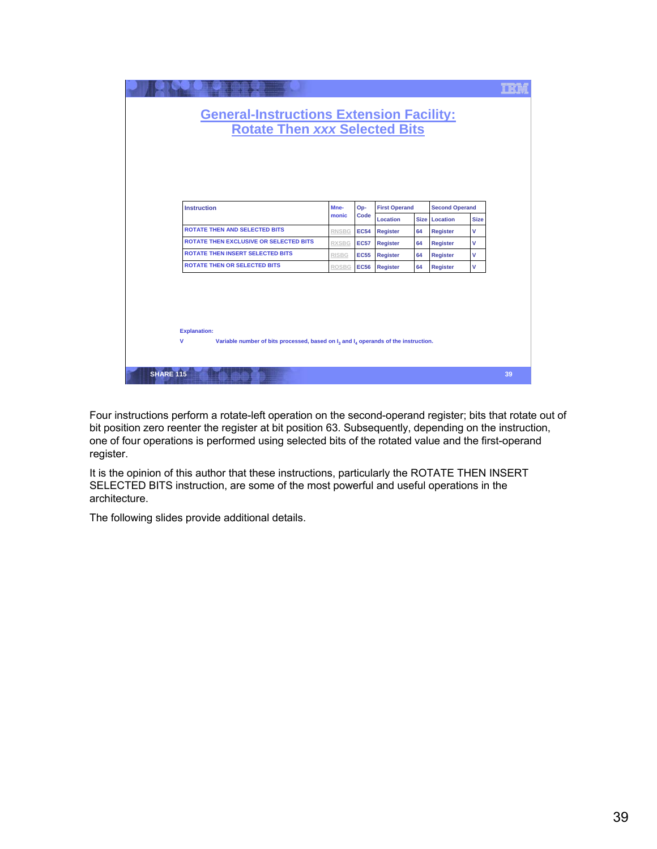| <b>General-Instructions Extension Facility:</b>                                                                      | <b>Rotate Then xxx Selected Bits</b> |                            |                                    |          |                                    |             |    |
|----------------------------------------------------------------------------------------------------------------------|--------------------------------------|----------------------------|------------------------------------|----------|------------------------------------|-------------|----|
| <b>Instruction</b>                                                                                                   | Mne-<br>monic                        | Op-<br>Code                | <b>First Operand</b>               |          | <b>Second Operand</b>              |             |    |
| <b>ROTATE THEN AND SELECTED BITS</b>                                                                                 |                                      |                            | Location                           |          | Size Location                      | <b>Size</b> |    |
| <b>ROTATE THEN EXCLUSIVE OR SELECTED BITS</b>                                                                        | <b>RNSBG</b><br><b>RXSBG</b>         | <b>EC54</b><br><b>EC57</b> | <b>Register</b><br><b>Register</b> | 64<br>64 | <b>Register</b><br><b>Register</b> | V<br>v      |    |
| <b>ROTATE THEN INSERT SELECTED BITS</b>                                                                              | <b>RISBG</b>                         | <b>EC55</b>                | <b>Register</b>                    | 64       | <b>Register</b>                    | v           |    |
| <b>ROTATE THEN OR SELECTED BITS</b>                                                                                  | ROSBG                                | <b>EC56</b>                | <b>Register</b>                    | 64       | <b>Register</b>                    | V           |    |
|                                                                                                                      |                                      |                            |                                    |          |                                    |             |    |
| <b>Explanation:</b><br>v<br>Variable number of bits processed, based on $I_3$ and $I_4$ operands of the instruction. |                                      |                            |                                    |          |                                    |             |    |
| <b>SHARE 115</b>                                                                                                     |                                      |                            |                                    |          |                                    |             | 39 |

Four instructions perform a rotate-left operation on the second-operand register; bits that rotate out of bit position zero reenter the register at bit position 63. Subsequently, depending on the instruction, one of four operations is performed using selected bits of the rotated value and the first-operand register.

It is the opinion of this author that these instructions, particularly the ROTATE THEN INSERT SELECTED BITS instruction, are some of the most powerful and useful operations in the architecture.

The following slides provide additional details.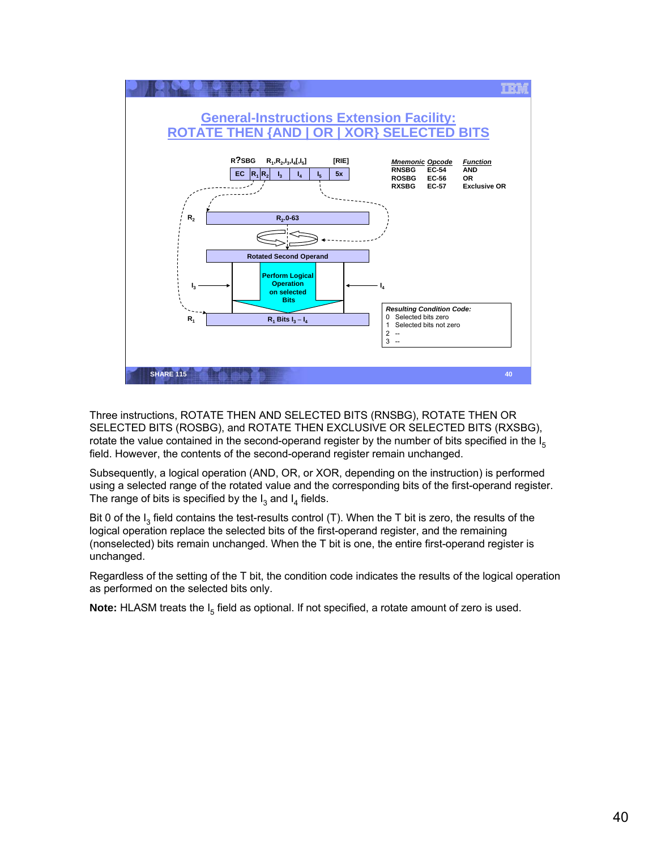

Three instructions, ROTATE THEN AND SELECTED BITS (RNSBG), ROTATE THEN OR SELECTED BITS (ROSBG), and ROTATE THEN EXCLUSIVE OR SELECTED BITS (RXSBG), rotate the value contained in the second-operand register by the number of bits specified in the  $I_5$ field. However, the contents of the second-operand register remain unchanged.

Subsequently, a logical operation (AND, OR, or XOR, depending on the instruction) is performed using a selected range of the rotated value and the corresponding bits of the first-operand register. The range of bits is specified by the  $I_3$  and  $I_4$  fields.

Bit 0 of the  $I_3$  field contains the test-results control (T). When the T bit is zero, the results of the logical operation replace the selected bits of the first-operand register, and the remaining (nonselected) bits remain unchanged. When the T bit is one, the entire first-operand register is unchanged.

Regardless of the setting of the T bit, the condition code indicates the results of the logical operation as performed on the selected bits only.

**Note:** HLASM treats the I<sub>5</sub> field as optional. If not specified, a rotate amount of zero is used.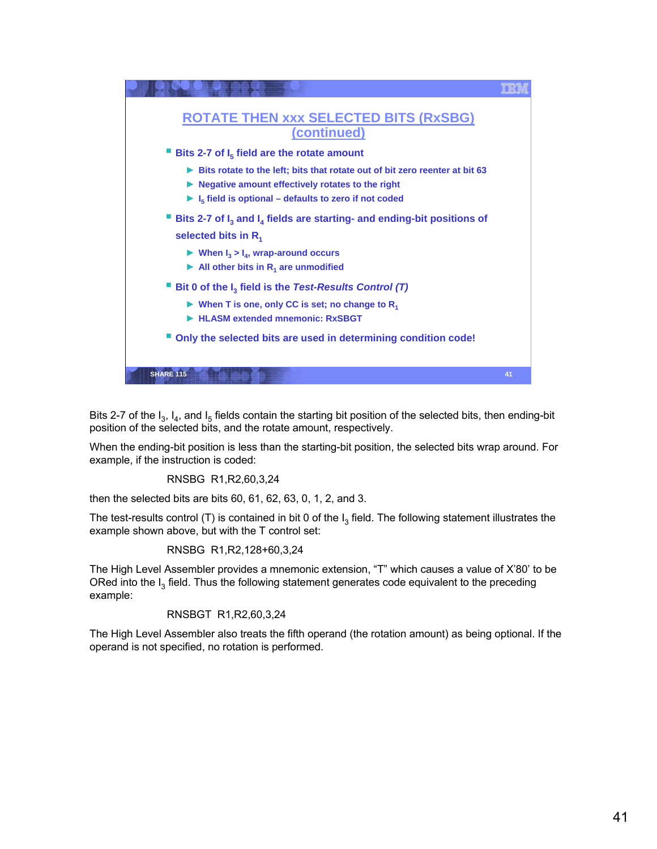

Bits 2-7 of the  $I_3$ ,  $I_4$ , and  $I_5$  fields contain the starting bit position of the selected bits, then ending-bit position of the selected bits, and the rotate amount, respectively.

When the ending-bit position is less than the starting-bit position, the selected bits wrap around. For example, if the instruction is coded:

RNSBG R1,R2,60,3,24

then the selected bits are bits 60, 61, 62, 63, 0, 1, 2, and 3.

The test-results control (T) is contained in bit 0 of the  $I_3$  field. The following statement illustrates the example shown above, but with the T control set:

RNSBG R1,R2,128+60,3,24

The High Level Assembler provides a mnemonic extension, "T" which causes a value of X'80' to be ORed into the  $I_3$  field. Thus the following statement generates code equivalent to the preceding example:

## RNSBGT R1,R2,60,3,24

The High Level Assembler also treats the fifth operand (the rotation amount) as being optional. If the operand is not specified, no rotation is performed.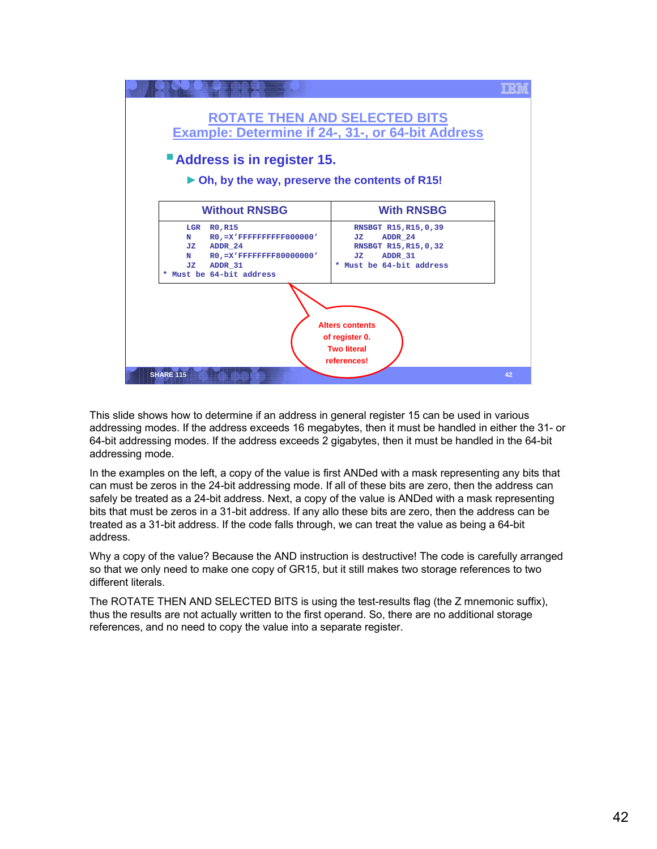

This slide shows how to determine if an address in general register 15 can be used in various addressing modes. If the address exceeds 16 megabytes, then it must be handled in either the 31- or 64-bit addressing modes. If the address exceeds 2 gigabytes, then it must be handled in the 64-bit addressing mode.

In the examples on the left, a copy of the value is first ANDed with a mask representing any bits that can must be zeros in the 24-bit addressing mode. If all of these bits are zero, then the address can safely be treated as a 24-bit address. Next, a copy of the value is ANDed with a mask representing bits that must be zeros in a 31-bit address. If any allo these bits are zero, then the address can be treated as a 31-bit address. If the code falls through, we can treat the value as being a 64-bit address.

Why a copy of the value? Because the AND instruction is destructive! The code is carefully arranged so that we only need to make one copy of GR15, but it still makes two storage references to two different literals.

The ROTATE THEN AND SELECTED BITS is using the test-results flag (the Z mnemonic suffix), thus the results are not actually written to the first operand. So, there are no additional storage references, and no need to copy the value into a separate register.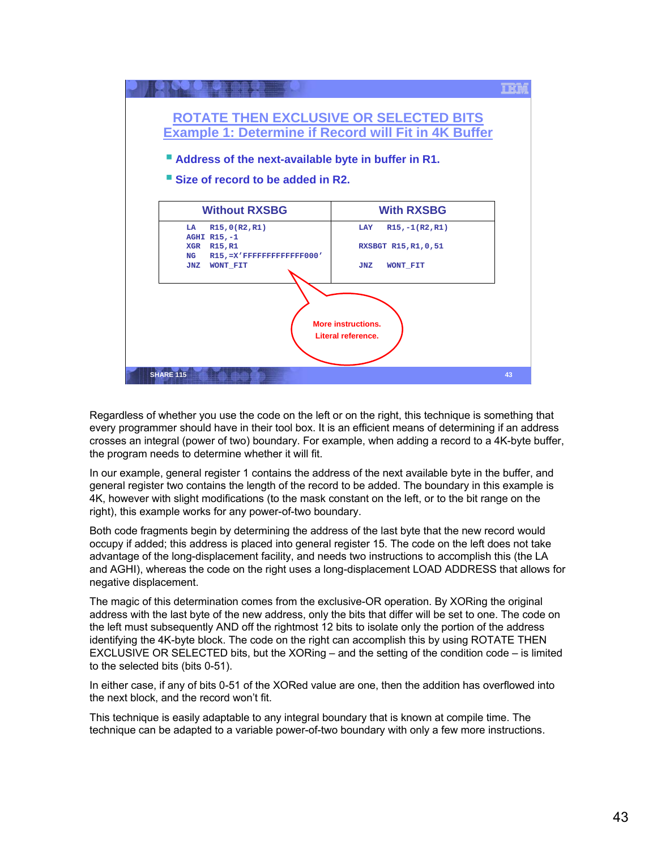

Regardless of whether you use the code on the left or on the right, this technique is something that every programmer should have in their tool box. It is an efficient means of determining if an address crosses an integral (power of two) boundary. For example, when adding a record to a 4K-byte buffer, the program needs to determine whether it will fit.

In our example, general register 1 contains the address of the next available byte in the buffer, and general register two contains the length of the record to be added. The boundary in this example is 4K, however with slight modifications (to the mask constant on the left, or to the bit range on the right), this example works for any power-of-two boundary.

Both code fragments begin by determining the address of the last byte that the new record would occupy if added; this address is placed into general register 15. The code on the left does not take advantage of the long-displacement facility, and needs two instructions to accomplish this (the LA and AGHI), whereas the code on the right uses a long-displacement LOAD ADDRESS that allows for negative displacement.

The magic of this determination comes from the exclusive-OR operation. By XORing the original address with the last byte of the new address, only the bits that differ will be set to one. The code on the left must subsequently AND off the rightmost 12 bits to isolate only the portion of the address identifying the 4K-byte block. The code on the right can accomplish this by using ROTATE THEN EXCLUSIVE OR SELECTED bits, but the XORing – and the setting of the condition code – is limited to the selected bits (bits 0-51).

In either case, if any of bits 0-51 of the XORed value are one, then the addition has overflowed into the next block, and the record won't fit.

This technique is easily adaptable to any integral boundary that is known at compile time. The technique can be adapted to a variable power-of-two boundary with only a few more instructions.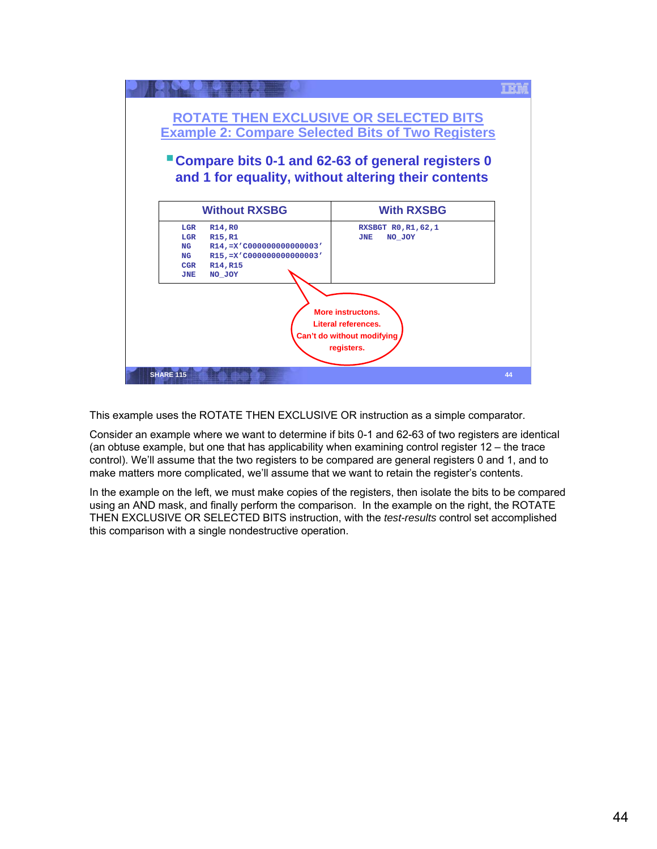

This example uses the ROTATE THEN EXCLUSIVE OR instruction as a simple comparator.

Consider an example where we want to determine if bits 0-1 and 62-63 of two registers are identical (an obtuse example, but one that has applicability when examining control register 12 – the trace control). We'll assume that the two registers to be compared are general registers 0 and 1, and to make matters more complicated, we'll assume that we want to retain the register's contents.

In the example on the left, we must make copies of the registers, then isolate the bits to be compared using an AND mask, and finally perform the comparison. In the example on the right, the ROTATE THEN EXCLUSIVE OR SELECTED BITS instruction, with the *test-results* control set accomplished this comparison with a single nondestructive operation.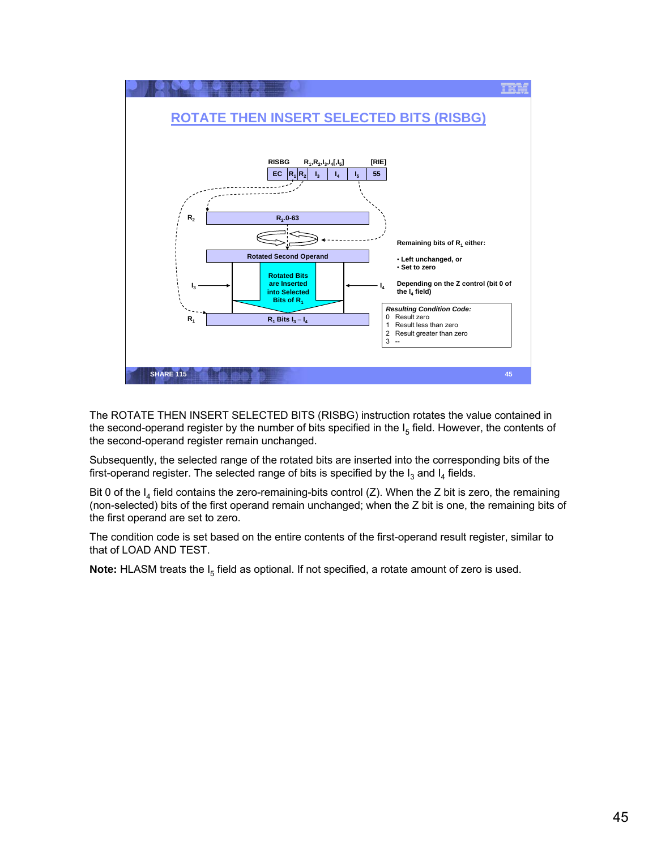

The ROTATE THEN INSERT SELECTED BITS (RISBG) instruction rotates the value contained in the second-operand register by the number of bits specified in the  $I_5$  field. However, the contents of the second-operand register remain unchanged.

Subsequently, the selected range of the rotated bits are inserted into the corresponding bits of the first-operand register. The selected range of bits is specified by the  $I_3$  and  $I_4$  fields.

Bit 0 of the  $I_4$  field contains the zero-remaining-bits control (Z). When the Z bit is zero, the remaining (non-selected) bits of the first operand remain unchanged; when the Z bit is one, the remaining bits of the first operand are set to zero.

The condition code is set based on the entire contents of the first-operand result register, similar to that of LOAD AND TEST.

**Note:** HLASM treats the I<sub>5</sub> field as optional. If not specified, a rotate amount of zero is used.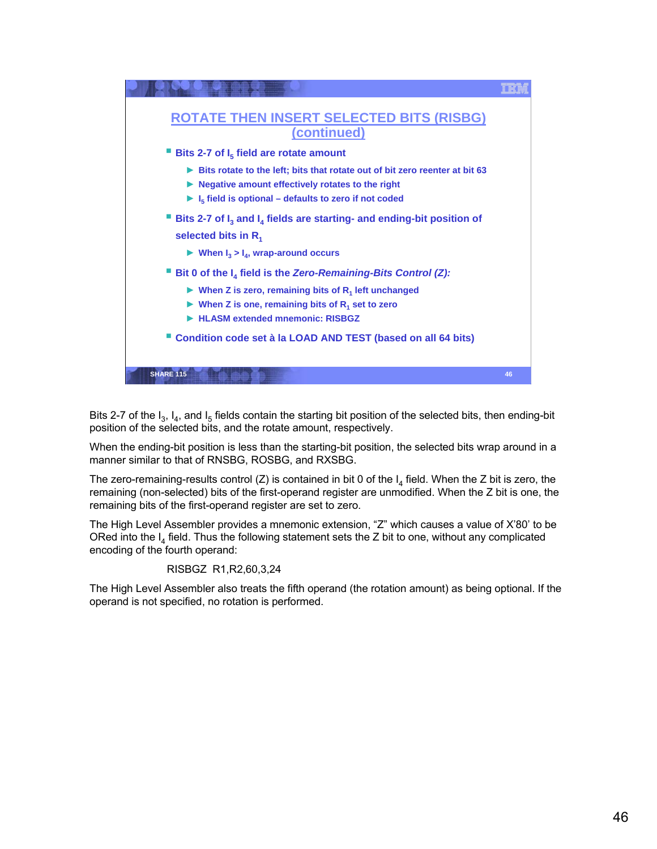

Bits 2-7 of the  $I_3$ ,  $I_4$ , and  $I_5$  fields contain the starting bit position of the selected bits, then ending-bit position of the selected bits, and the rotate amount, respectively.

When the ending-bit position is less than the starting-bit position, the selected bits wrap around in a manner similar to that of RNSBG, ROSBG, and RXSBG.

The zero-remaining-results control (Z) is contained in bit 0 of the  $I_4$  field. When the Z bit is zero, the remaining (non-selected) bits of the first-operand register are unmodified. When the Z bit is one, the remaining bits of the first-operand register are set to zero.

The High Level Assembler provides a mnemonic extension, "Z" which causes a value of X'80' to be ORed into the  $I_4$  field. Thus the following statement sets the Z bit to one, without any complicated encoding of the fourth operand:

## RISBGZ R1,R2,60,3,24

The High Level Assembler also treats the fifth operand (the rotation amount) as being optional. If the operand is not specified, no rotation is performed.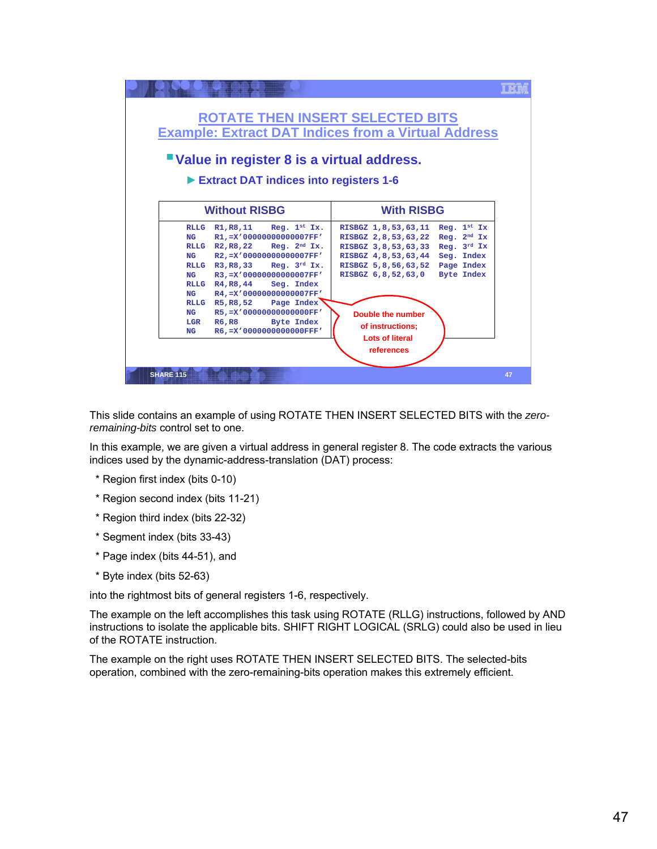| "Value in register 8 is a virtual address.<br>Extract DAT indices into registers 1-6                                                                                                                                                                                                                                                                                                                                                                                                                                                                                                                                                                                                                                                                            |  |
|-----------------------------------------------------------------------------------------------------------------------------------------------------------------------------------------------------------------------------------------------------------------------------------------------------------------------------------------------------------------------------------------------------------------------------------------------------------------------------------------------------------------------------------------------------------------------------------------------------------------------------------------------------------------------------------------------------------------------------------------------------------------|--|
| <b>Without RISBG</b><br><b>With RISBG</b>                                                                                                                                                                                                                                                                                                                                                                                                                                                                                                                                                                                                                                                                                                                       |  |
| RLLG $R1, R8, 11$ Reg. $1st Ix$ .<br>Reg. $1^{st}$ Ix<br>RISBGZ 1,8,53,63,11<br>$R1, = X'00000000000007FF'$<br>Reg. $2nd Ix$<br>NG<br>RISBGZ 2,8,53,63,22<br>RLLG $R2, R8, 22$ Reg. $2nd Ix$ .<br>Req. $3^{rd}$ Ix<br>RISBGZ 3,8,53,63,33<br>R2,=X'00000000000007FF'<br>NG<br>RISBGZ 4,8,53,63,44<br>Seg. Index<br>RLLG $R3.R8.33$ Req. $3rd Ix$ .<br>Page Index<br>RISBGZ 5,8,56,63,52<br>R3, =X'00000000000007FF'<br><b>Byte Index</b><br>NG<br>RISBGZ 6,8,52,63,0<br>Seg. Index<br>RLLG $R4, R8, 44$<br>R4,=X'00000000000007FF'<br>NG<br>RLLG R5, R8, 52 Page Index<br>R5,=X'00000000000000FF'<br>NG<br>Double the number<br><b>Byte Index</b><br>LGR<br>R6, R8<br>of instructions;<br>R6.=X'0000000000000FFF'<br>NG<br><b>Lots of literal</b><br>references |  |

This slide contains an example of using ROTATE THEN INSERT SELECTED BITS with the *zeroremaining-bits* control set to one.

In this example, we are given a virtual address in general register 8. The code extracts the various indices used by the dynamic-address-translation (DAT) process:

- \* Region first index (bits 0-10)
- \* Region second index (bits 11-21)
- \* Region third index (bits 22-32)
- \* Segment index (bits 33-43)
- \* Page index (bits 44-51), and
- \* Byte index (bits 52-63)

into the rightmost bits of general registers 1-6, respectively.

The example on the left accomplishes this task using ROTATE (RLLG) instructions, followed by AND instructions to isolate the applicable bits. SHIFT RIGHT LOGICAL (SRLG) could also be used in lieu of the ROTATE instruction.

The example on the right uses ROTATE THEN INSERT SELECTED BITS. The selected-bits operation, combined with the zero-remaining-bits operation makes this extremely efficient.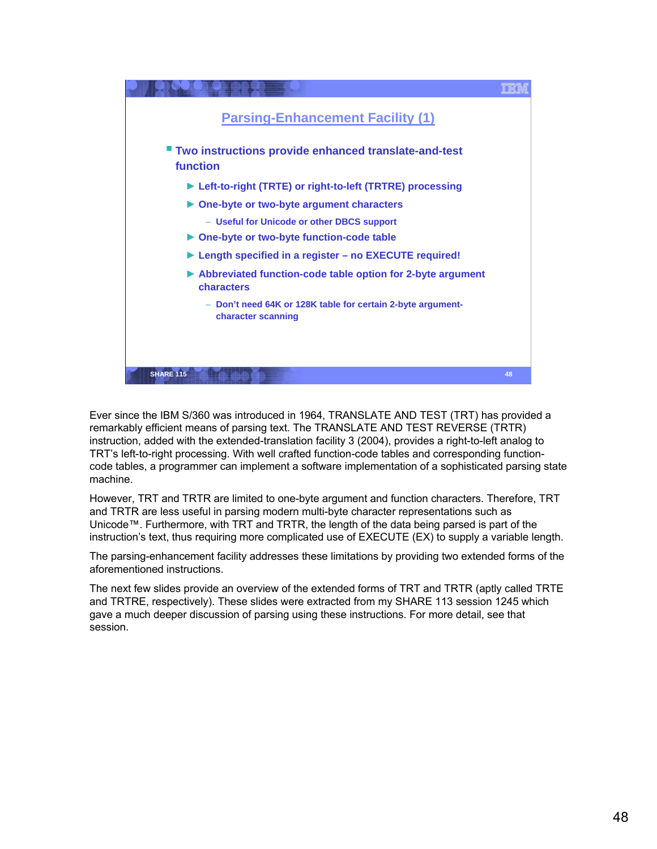

Ever since the IBM S/360 was introduced in 1964, TRANSLATE AND TEST (TRT) has provided a remarkably efficient means of parsing text. The TRANSLATE AND TEST REVERSE (TRTR) instruction, added with the extended-translation facility 3 (2004), provides a right-to-left analog to TRT's left-to-right processing. With well crafted function-code tables and corresponding functioncode tables, a programmer can implement a software implementation of a sophisticated parsing state machine.

However, TRT and TRTR are limited to one-byte argument and function characters. Therefore, TRT and TRTR are less useful in parsing modern multi-byte character representations such as Unicode™. Furthermore, with TRT and TRTR, the length of the data being parsed is part of the instruction's text, thus requiring more complicated use of EXECUTE (EX) to supply a variable length.

The parsing-enhancement facility addresses these limitations by providing two extended forms of the aforementioned instructions.

The next few slides provide an overview of the extended forms of TRT and TRTR (aptly called TRTE and TRTRE, respectively). These slides were extracted from my SHARE 113 session 1245 which gave a much deeper discussion of parsing using these instructions. For more detail, see that session.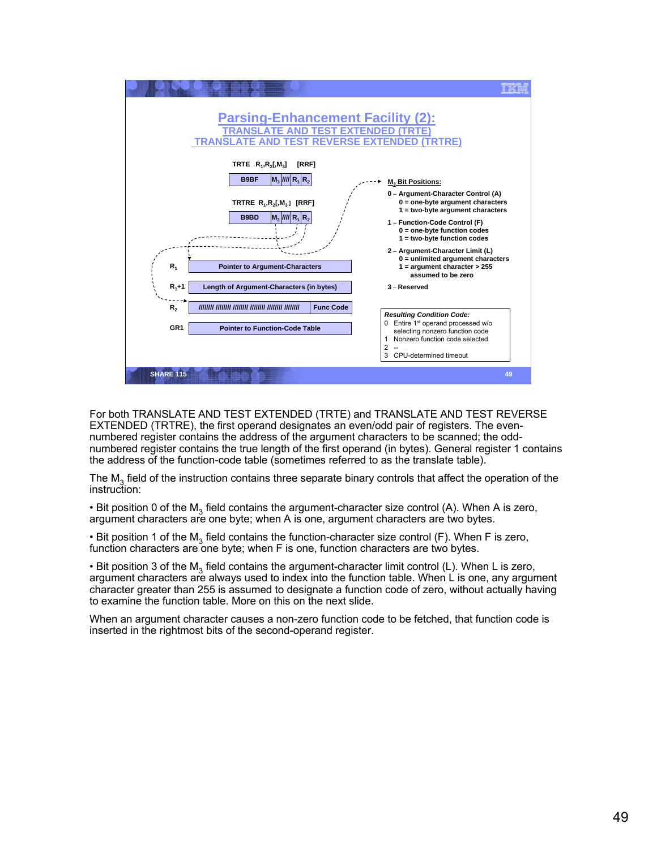

For both TRANSLATE AND TEST EXTENDED (TRTE) and TRANSLATE AND TEST REVERSE EXTENDED (TRTRE), the first operand designates an even/odd pair of registers. The evennumbered register contains the address of the argument characters to be scanned; the oddnumbered register contains the true length of the first operand (in bytes). General register 1 contains the address of the function-code table (sometimes referred to as the translate table).

The  $M<sub>3</sub>$  field of the instruction contains three separate binary controls that affect the operation of the instruction:

• Bit position 0 of the  $M_3$  field contains the argument-character size control (A). When A is zero, argument characters are one byte; when A is one, argument characters are two bytes.

• Bit position 1 of the M<sub>3</sub> field contains the function-character size control (F). When F is zero, function characters are one byte; when F is one, function characters are two bytes.

• Bit position 3 of the  $M_3$  field contains the argument-character limit control (L). When L is zero, argument characters are always used to index into the function table. When L is one, any argument character greater than 255 is assumed to designate a function code of zero, without actually having to examine the function table. More on this on the next slide.

When an argument character causes a non-zero function code to be fetched, that function code is inserted in the rightmost bits of the second-operand register.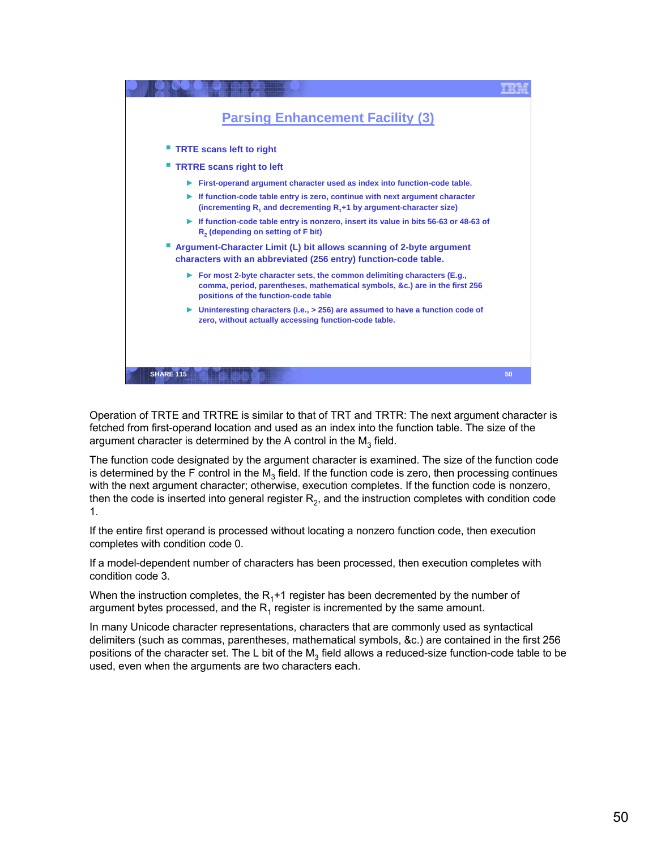

Operation of TRTE and TRTRE is similar to that of TRT and TRTR: The next argument character is fetched from first-operand location and used as an index into the function table. The size of the argument character is determined by the A control in the  $M_3$  field.

The function code designated by the argument character is examined. The size of the function code is determined by the F control in the  $M<sub>3</sub>$  field. If the function code is zero, then processing continues with the next argument character; otherwise, execution completes. If the function code is nonzero, then the code is inserted into general register  $R<sub>2</sub>$ , and the instruction completes with condition code 1.

If the entire first operand is processed without locating a nonzero function code, then execution completes with condition code 0.

If a model-dependent number of characters has been processed, then execution completes with condition code 3.

When the instruction completes, the  $R_1+1$  register has been decremented by the number of argument bytes processed, and the  $R_1$  register is incremented by the same amount.

In many Unicode character representations, characters that are commonly used as syntactical delimiters (such as commas, parentheses, mathematical symbols, &c.) are contained in the first 256 positions of the character set. The L bit of the  $M_3$  field allows a reduced-size function-code table to be used, even when the arguments are two characters each.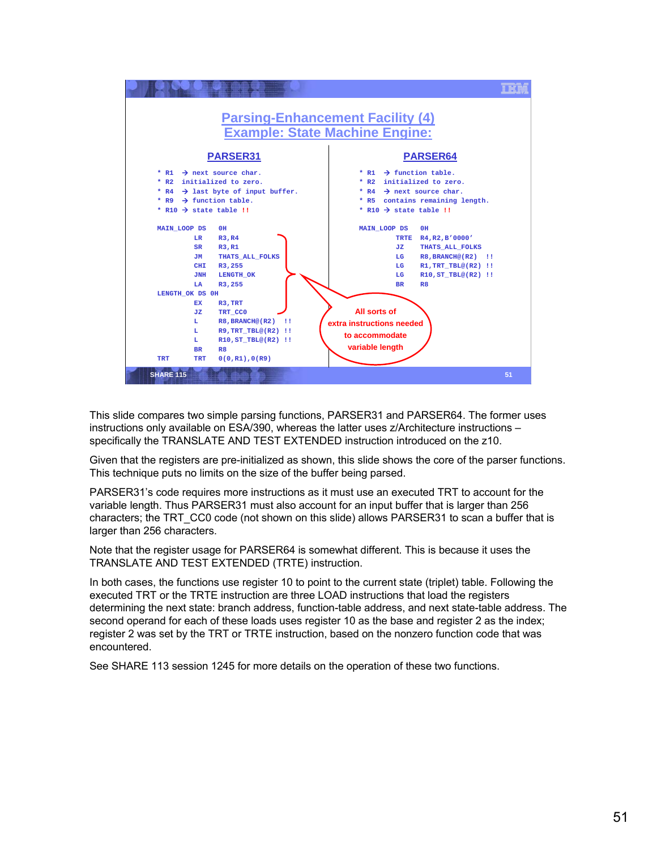

This slide compares two simple parsing functions, PARSER31 and PARSER64. The former uses instructions only available on ESA/390, whereas the latter uses z/Architecture instructions specifically the TRANSLATE AND TEST EXTENDED instruction introduced on the z10.

Given that the registers are pre-initialized as shown, this slide shows the core of the parser functions. This technique puts no limits on the size of the buffer being parsed.

PARSER31's code requires more instructions as it must use an executed TRT to account for the variable length. Thus PARSER31 must also account for an input buffer that is larger than 256 characters; the TRT\_CC0 code (not shown on this slide) allows PARSER31 to scan a buffer that is larger than 256 characters.

Note that the register usage for PARSER64 is somewhat different. This is because it uses the TRANSLATE AND TEST EXTENDED (TRTE) instruction.

In both cases, the functions use register 10 to point to the current state (triplet) table. Following the executed TRT or the TRTE instruction are three LOAD instructions that load the registers determining the next state: branch address, function-table address, and next state-table address. The second operand for each of these loads uses register 10 as the base and register 2 as the index; register 2 was set by the TRT or TRTE instruction, based on the nonzero function code that was encountered.

See SHARE 113 session 1245 for more details on the operation of these two functions.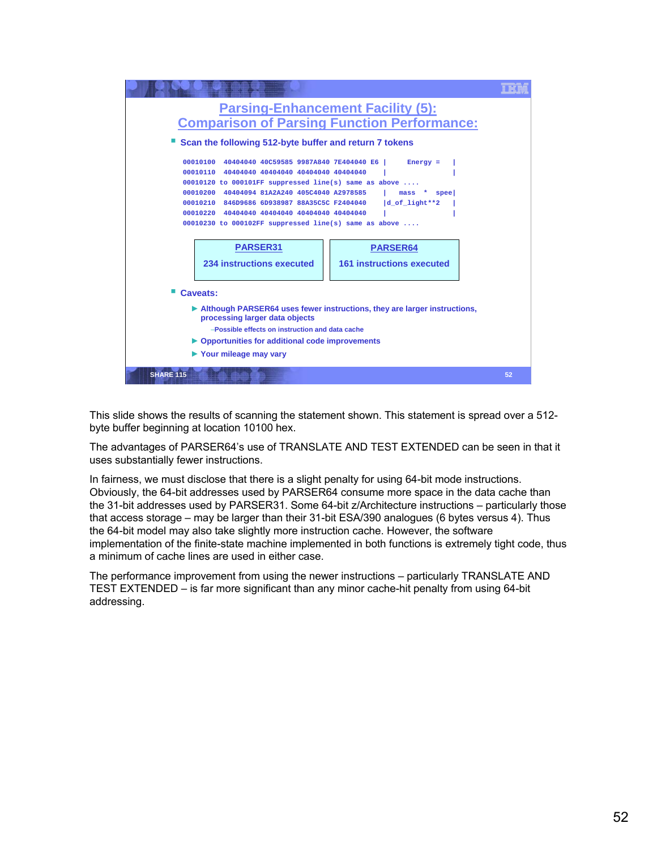

This slide shows the results of scanning the statement shown. This statement is spread over a 512 byte buffer beginning at location 10100 hex.

The advantages of PARSER64's use of TRANSLATE AND TEST EXTENDED can be seen in that it uses substantially fewer instructions.

In fairness, we must disclose that there is a slight penalty for using 64-bit mode instructions. Obviously, the 64-bit addresses used by PARSER64 consume more space in the data cache than the 31-bit addresses used by PARSER31. Some 64-bit z/Architecture instructions – particularly those that access storage – may be larger than their 31-bit ESA/390 analogues (6 bytes versus 4). Thus the 64-bit model may also take slightly more instruction cache. However, the software implementation of the finite-state machine implemented in both functions is extremely tight code, thus a minimum of cache lines are used in either case.

The performance improvement from using the newer instructions – particularly TRANSLATE AND TEST EXTENDED – is far more significant than any minor cache-hit penalty from using 64-bit addressing.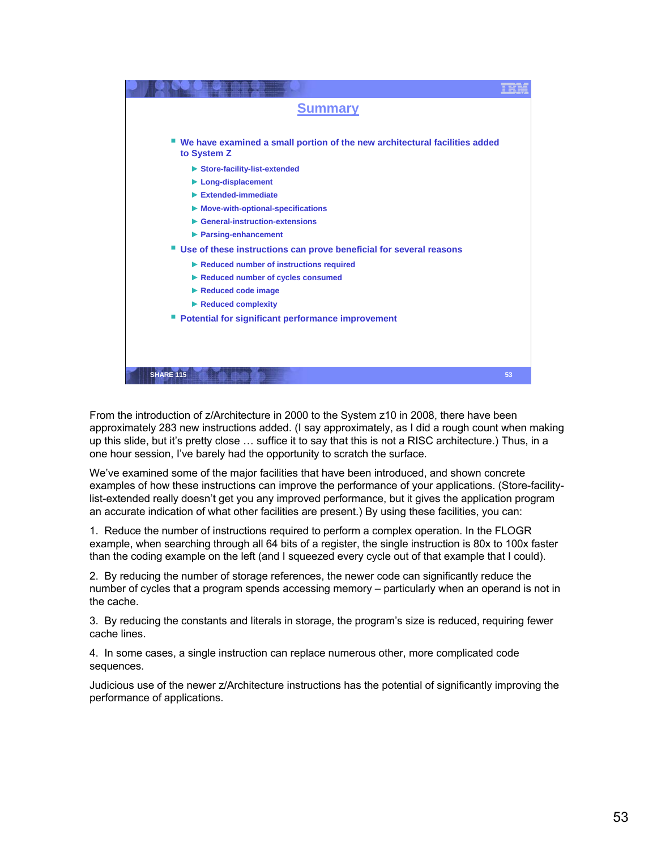| <b>Summary</b>                                                                            |    |
|-------------------------------------------------------------------------------------------|----|
|                                                                                           |    |
| We have examined a small portion of the new architectural facilities added<br>to System Z |    |
| Store-facility-list-extended                                                              |    |
| $\blacktriangleright$ Long-displacement                                                   |    |
| $\blacktriangleright$ Extended-immediate                                                  |    |
| $\triangleright$ Move-with-optional-specifications                                        |    |
| $\blacktriangleright$ General-instruction-extensions                                      |    |
| ▶ Parsing-enhancement                                                                     |    |
| ■ Use of these instructions can prove beneficial for several reasons                      |    |
| Reduced number of instructions required                                                   |    |
| Reduced number of cycles consumed                                                         |    |
| Reduced code image                                                                        |    |
| $\blacktriangleright$ Reduced complexity                                                  |    |
| <b>Potential for significant performance improvement</b>                                  |    |
|                                                                                           |    |
|                                                                                           |    |
|                                                                                           |    |
| <b>SHARE 115</b>                                                                          | 53 |

From the introduction of z/Architecture in 2000 to the System z10 in 2008, there have been approximately 283 new instructions added. (I say approximately, as I did a rough count when making up this slide, but it's pretty close … suffice it to say that this is not a RISC architecture.) Thus, in a one hour session, I've barely had the opportunity to scratch the surface.

We've examined some of the major facilities that have been introduced, and shown concrete examples of how these instructions can improve the performance of your applications. (Store-facilitylist-extended really doesn't get you any improved performance, but it gives the application program an accurate indication of what other facilities are present.) By using these facilities, you can:

1. Reduce the number of instructions required to perform a complex operation. In the FLOGR example, when searching through all 64 bits of a register, the single instruction is 80x to 100x faster than the coding example on the left (and I squeezed every cycle out of that example that I could).

2. By reducing the number of storage references, the newer code can significantly reduce the number of cycles that a program spends accessing memory – particularly when an operand is not in the cache.

3. By reducing the constants and literals in storage, the program's size is reduced, requiring fewer cache lines.

4. In some cases, a single instruction can replace numerous other, more complicated code sequences.

Judicious use of the newer z/Architecture instructions has the potential of significantly improving the performance of applications.